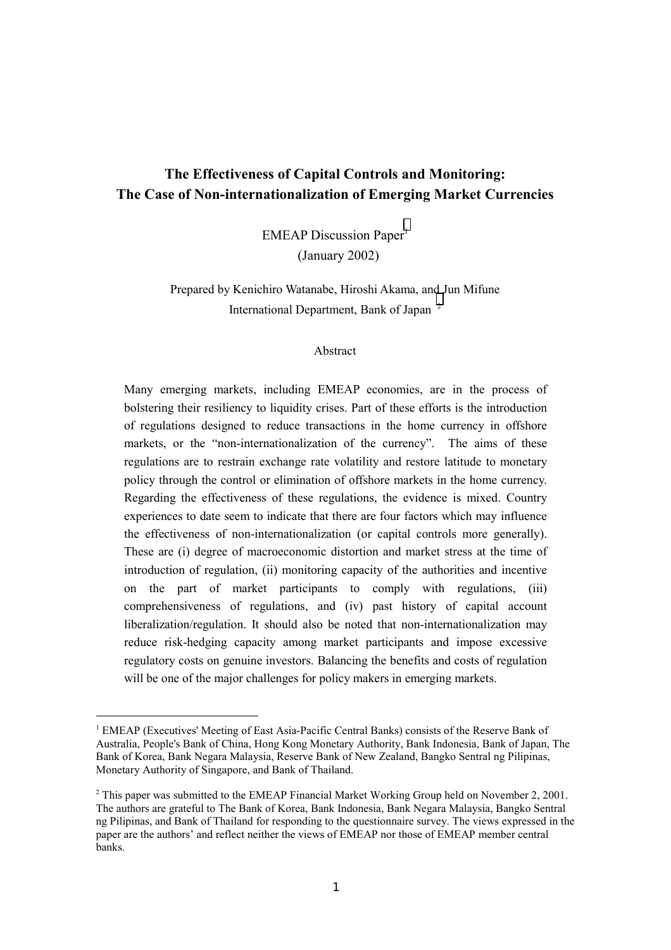## **The Effectiveness of Capital Controls and Monitoring: The Case of Non-internationalization of Emerging Market Currencies**

 $EMEAP$  Discussion Paper<sup>1</sup> (January 2002)

Prepared by Kenichiro Watanabe, Hiroshi Akama, and Jun Mifune International Department, Bank of Japan<sup>2</sup>

#### Abstract

Many emerging markets, including EMEAP economies, are in the process of bolstering their resiliency to liquidity crises. Part of these efforts is the introduction of regulations designed to reduce transactions in the home currency in offshore markets, or the "non-internationalization of the currency". The aims of these regulations are to restrain exchange rate volatility and restore latitude to monetary policy through the control or elimination of offshore markets in the home currency. Regarding the effectiveness of these regulations, the evidence is mixed. Country experiences to date seem to indicate that there are four factors which may influence the effectiveness of non-internationalization (or capital controls more generally). These are (i) degree of macroeconomic distortion and market stress at the time of introduction of regulation, (ii) monitoring capacity of the authorities and incentive on the part of market participants to comply with regulations, (iii) comprehensiveness of regulations, and (iv) past history of capital account liberalization/regulation. It should also be noted that non-internationalization may reduce risk-hedging capacity among market participants and impose excessive regulatory costs on genuine investors. Balancing the benefits and costs of regulation will be one of the major challenges for policy makers in emerging markets.

 $\overline{a}$ 

<sup>&</sup>lt;sup>1</sup> EMEAP (Executives' Meeting of East Asia-Pacific Central Banks) consists of the Reserve Bank of Australia, People's Bank of China, Hong Kong Monetary Authority, Bank Indonesia, Bank of Japan, The Bank of Korea, Bank Negara Malaysia, Reserve Bank of New Zealand, Bangko Sentral ng Pilipinas, Monetary Authority of Singapore, and Bank of Thailand.

<sup>&</sup>lt;sup>2</sup> This paper was submitted to the EMEAP Financial Market Working Group held on November 2, 2001. The authors are grateful to The Bank of Korea, Bank Indonesia, Bank Negara Malaysia, Bangko Sentral ng Pilipinas, and Bank of Thailand for responding to the questionnaire survey. The views expressed in the paper are the authors' and reflect neither the views of EMEAP nor those of EMEAP member central banks.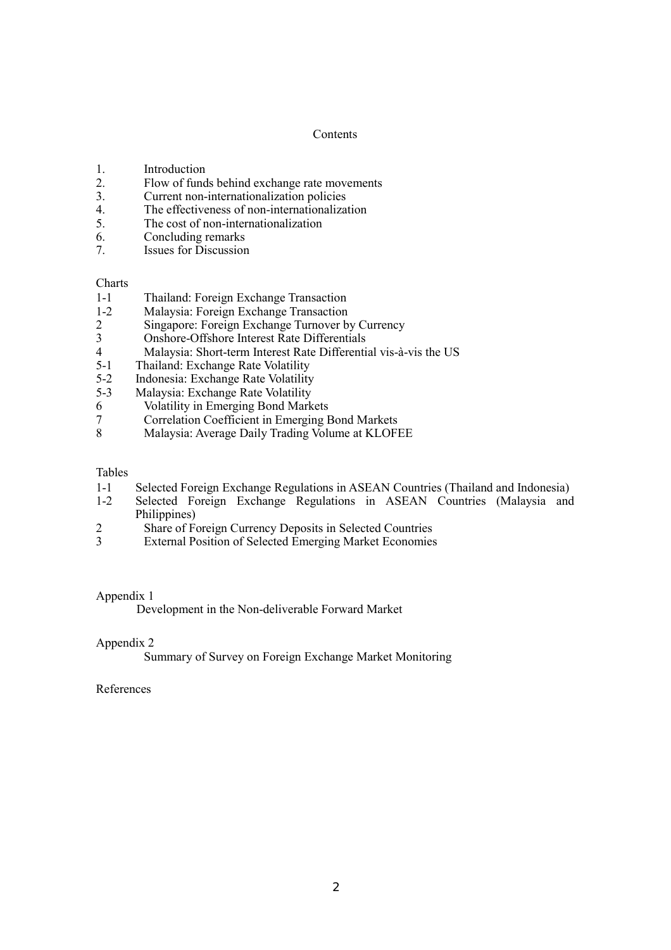## **Contents**

- 1. Introduction
- 2. Flow of funds behind exchange rate movements
- 3. Current non-internationalization policies
- 4. The effectiveness of non-internationalization
- 5. The cost of non-internationalization
- 6. Concluding remarks
- 7. Issues for Discussion

## **Charts**

- 1-1 Thailand: Foreign Exchange Transaction
- 1-2 Malaysia: Foreign Exchange Transaction
- 2 Singapore: Foreign Exchange Turnover by Currency
- 3 Onshore-Offshore Interest Rate Differentials
- 4 Malaysia: Short-term Interest Rate Differential vis-à-vis the US
- 5-1 Thailand: Exchange Rate Volatility<br>5-2 Indonesia: Exchange Rate Volatility
- 5-2 Indonesia: Exchange Rate Volatility<br>5-3 Malaysia: Exchange Rate Volatility
- Malaysia: Exchange Rate Volatility
- 6 Volatility in Emerging Bond Markets
- 7 Correlation Coefficient in Emerging Bond Markets<br>8 Malaysia: Average Daily Trading Volume at KLOFI
- Malaysia: Average Daily Trading Volume at KLOFEE

#### Tables

- 1-1 Selected Foreign Exchange Regulations in ASEAN Countries (Thailand and Indonesia)
- 1-2 Selected Foreign Exchange Regulations in ASEAN Countries (Malaysia and Philippines)
- 2 Share of Foreign Currency Deposits in Selected Countries
- 3 External Position of Selected Emerging Market Economies

## Appendix 1

Development in the Non-deliverable Forward Market

#### Appendix 2

Summary of Survey on Foreign Exchange Market Monitoring

## References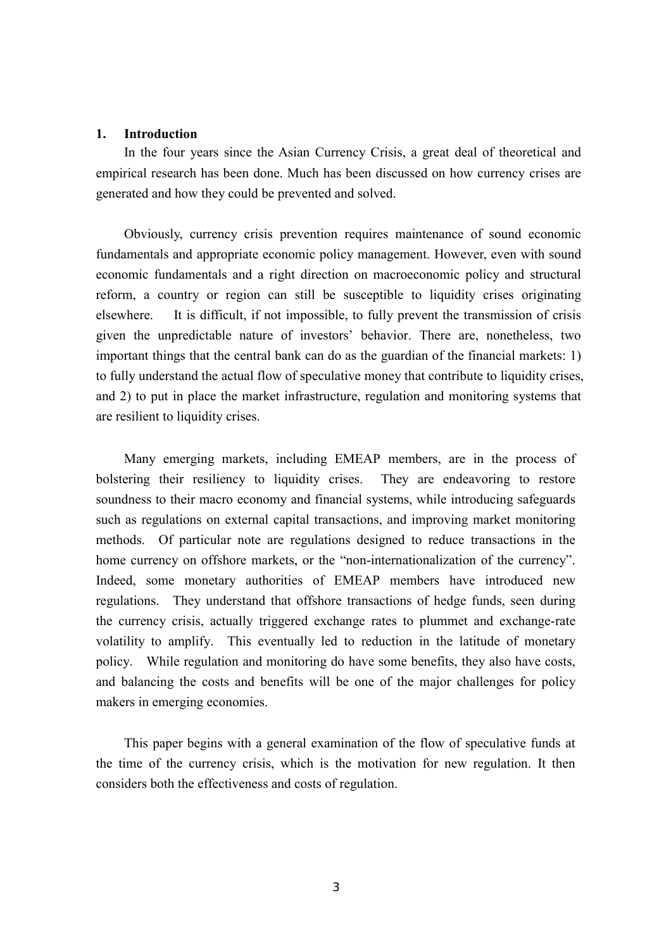## **1. Introduction**

In the four years since the Asian Currency Crisis, a great deal of theoretical and empirical research has been done. Much has been discussed on how currency crises are generated and how they could be prevented and solved.

Obviously, currency crisis prevention requires maintenance of sound economic fundamentals and appropriate economic policy management. However, even with sound economic fundamentals and a right direction on macroeconomic policy and structural reform, a country or region can still be susceptible to liquidity crises originating elsewhere. It is difficult, if not impossible, to fully prevent the transmission of crisis given the unpredictable nature of investors' behavior. There are, nonetheless, two important things that the central bank can do as the guardian of the financial markets: 1) to fully understand the actual flow of speculative money that contribute to liquidity crises, and 2) to put in place the market infrastructure, regulation and monitoring systems that are resilient to liquidity crises.

Many emerging markets, including EMEAP members, are in the process of bolstering their resiliency to liquidity crises. They are endeavoring to restore soundness to their macro economy and financial systems, while introducing safeguards such as regulations on external capital transactions, and improving market monitoring methods. Of particular note are regulations designed to reduce transactions in the home currency on offshore markets, or the "non-internationalization of the currency". Indeed, some monetary authorities of EMEAP members have introduced new regulations. They understand that offshore transactions of hedge funds, seen during the currency crisis, actually triggered exchange rates to plummet and exchange-rate volatility to amplify. This eventually led to reduction in the latitude of monetary policy. While regulation and monitoring do have some benefits, they also have costs, and balancing the costs and benefits will be one of the major challenges for policy makers in emerging economies.

This paper begins with a general examination of the flow of speculative funds at the time of the currency crisis, which is the motivation for new regulation. It then considers both the effectiveness and costs of regulation.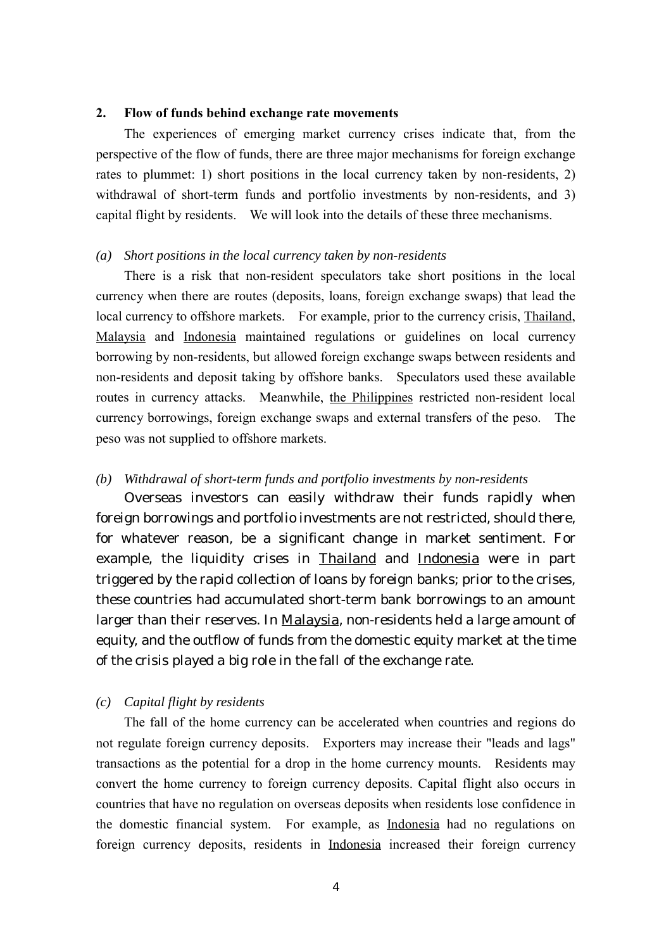## **2. Flow of funds behind exchange rate movements**

The experiences of emerging market currency crises indicate that, from the perspective of the flow of funds, there are three major mechanisms for foreign exchange rates to plummet: 1) short positions in the local currency taken by non-residents, 2) withdrawal of short-term funds and portfolio investments by non-residents, and 3) capital flight by residents. We will look into the details of these three mechanisms.

## *(a) Short positions in the local currency taken by non-residents*

There is a risk that non-resident speculators take short positions in the local currency when there are routes (deposits, loans, foreign exchange swaps) that lead the local currency to offshore markets. For example, prior to the currency crisis, Thailand, Malaysia and Indonesia maintained regulations or guidelines on local currency borrowing by non-residents, but allowed foreign exchange swaps between residents and non-residents and deposit taking by offshore banks. Speculators used these available routes in currency attacks. Meanwhile, the Philippines restricted non-resident local currency borrowings, foreign exchange swaps and external transfers of the peso. The peso was not supplied to offshore markets.

## *(b) Withdrawal of short-term funds and portfolio investments by non-residents*

Overseas investors can easily withdraw their funds rapidly when foreign borrowings and portfolio investments are not restricted, should there, for whatever reason, be a significant change in market sentiment. For example, the liquidity crises in Thailand and Indonesia were in part triggered by the rapid collection of loans by foreign banks; prior to the crises, these countries had accumulated short-term bank borrowings to an amount larger than their reserves. In Malaysia, non-residents held a large amount of equity, and the outflow of funds from the domestic equity market at the time of the crisis played a big role in the fall of the exchange rate.

## *(c) Capital flight by residents*

The fall of the home currency can be accelerated when countries and regions do not regulate foreign currency deposits. Exporters may increase their "leads and lags" transactions as the potential for a drop in the home currency mounts. Residents may convert the home currency to foreign currency deposits. Capital flight also occurs in countries that have no regulation on overseas deposits when residents lose confidence in the domestic financial system. For example, as Indonesia had no regulations on foreign currency deposits, residents in Indonesia increased their foreign currency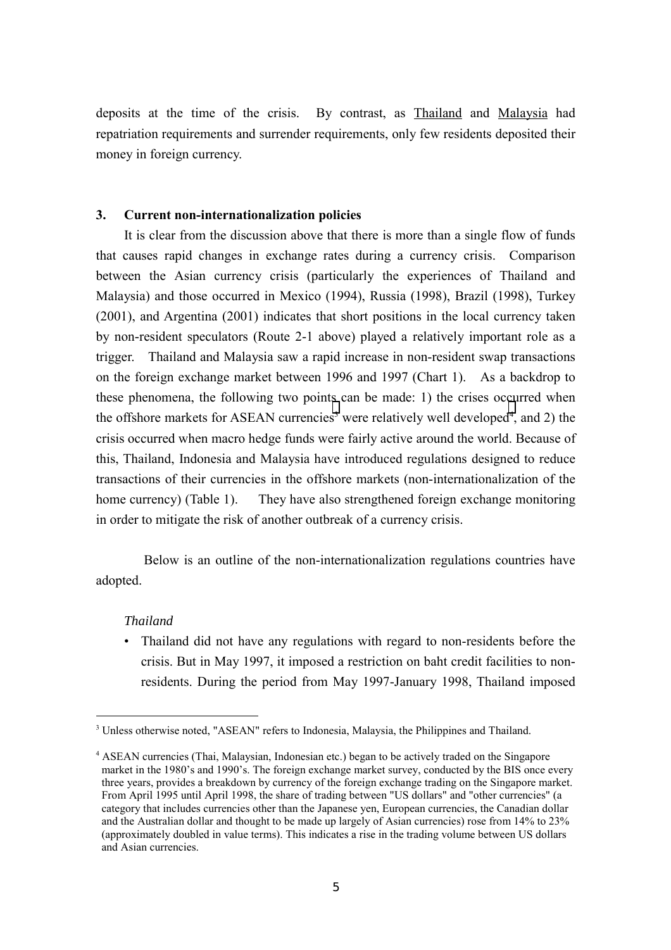deposits at the time of the crisis. By contrast, as Thailand and Malaysia had repatriation requirements and surrender requirements, only few residents deposited their money in foreign currency.

## **3. Current non-internationalization policies**

It is clear from the discussion above that there is more than a single flow of funds that causes rapid changes in exchange rates during a currency crisis. Comparison between the Asian currency crisis (particularly the experiences of Thailand and Malaysia) and those occurred in Mexico (1994), Russia (1998), Brazil (1998), Turkey (2001), and Argentina (2001) indicates that short positions in the local currency taken by non-resident speculators (Route 2-1 above) played a relatively important role as a trigger. Thailand and Malaysia saw a rapid increase in non-resident swap transactions on the foreign exchange market between 1996 and 1997 (Chart 1). As a backdrop to these phenomena, the following two points can be made: 1) the crises occurred when the offshore markets for ASEAN currencies<sup>3</sup> were relatively well developed<sup>4</sup>, and 2) the crisis occurred when macro hedge funds were fairly active around the world. Because of this, Thailand, Indonesia and Malaysia have introduced regulations designed to reduce transactions of their currencies in the offshore markets (non-internationalization of the home currency) (Table 1). They have also strengthened foreign exchange monitoring in order to mitigate the risk of another outbreak of a currency crisis.

Below is an outline of the non-internationalization regulations countries have adopted.

## *Thailand*

 $\overline{a}$ 

• Thailand did not have any regulations with regard to non-residents before the crisis. But in May 1997, it imposed a restriction on baht credit facilities to nonresidents. During the period from May 1997-January 1998, Thailand imposed

<sup>&</sup>lt;sup>3</sup> Unless otherwise noted, "ASEAN" refers to Indonesia, Malaysia, the Philippines and Thailand.

<sup>4</sup> ASEAN currencies (Thai, Malaysian, Indonesian etc.) began to be actively traded on the Singapore market in the 1980's and 1990's. The foreign exchange market survey, conducted by the BIS once every three years, provides a breakdown by currency of the foreign exchange trading on the Singapore market. From April 1995 until April 1998, the share of trading between "US dollars" and "other currencies" (a category that includes currencies other than the Japanese yen, European currencies, the Canadian dollar and the Australian dollar and thought to be made up largely of Asian currencies) rose from 14% to 23% (approximately doubled in value terms). This indicates a rise in the trading volume between US dollars and Asian currencies.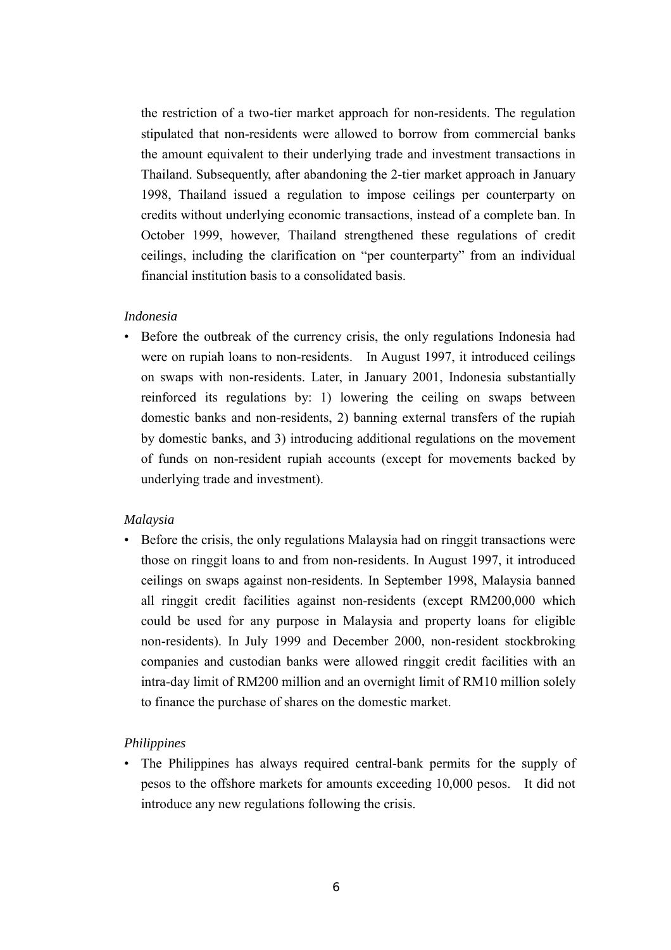the restriction of a two-tier market approach for non-residents. The regulation stipulated that non-residents were allowed to borrow from commercial banks the amount equivalent to their underlying trade and investment transactions in Thailand. Subsequently, after abandoning the 2-tier market approach in January 1998, Thailand issued a regulation to impose ceilings per counterparty on credits without underlying economic transactions, instead of a complete ban. In October 1999, however, Thailand strengthened these regulations of credit ceilings, including the clarification on "per counterparty" from an individual financial institution basis to a consolidated basis.

## *Indonesia*

• Before the outbreak of the currency crisis, the only regulations Indonesia had were on rupiah loans to non-residents. In August 1997, it introduced ceilings on swaps with non-residents. Later, in January 2001, Indonesia substantially reinforced its regulations by: 1) lowering the ceiling on swaps between domestic banks and non-residents, 2) banning external transfers of the rupiah by domestic banks, and 3) introducing additional regulations on the movement of funds on non-resident rupiah accounts (except for movements backed by underlying trade and investment).

## *Malaysia*

• Before the crisis, the only regulations Malaysia had on ringgit transactions were those on ringgit loans to and from non-residents. In August 1997, it introduced ceilings on swaps against non-residents. In September 1998, Malaysia banned all ringgit credit facilities against non-residents (except RM200,000 which could be used for any purpose in Malaysia and property loans for eligible non-residents). In July 1999 and December 2000, non-resident stockbroking companies and custodian banks were allowed ringgit credit facilities with an intra-day limit of RM200 million and an overnight limit of RM10 million solely to finance the purchase of shares on the domestic market.

## *Philippines*

• The Philippines has always required central-bank permits for the supply of pesos to the offshore markets for amounts exceeding 10,000 pesos. It did not introduce any new regulations following the crisis.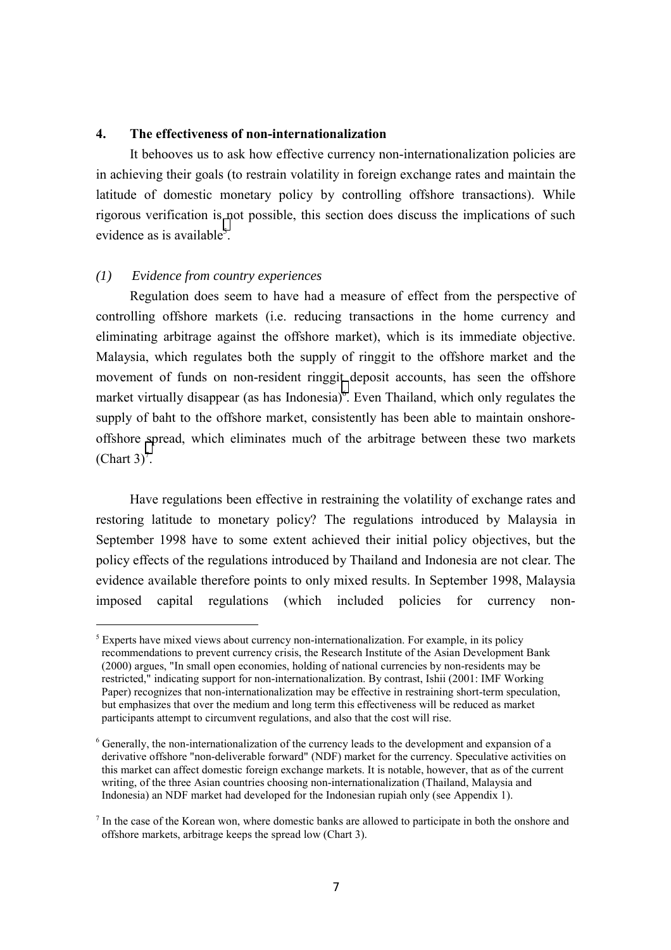## **4. The effectiveness of non-internationalization**

It behooves us to ask how effective currency non-internationalization policies are in achieving their goals (to restrain volatility in foreign exchange rates and maintain the latitude of domestic monetary policy by controlling offshore transactions). While rigorous verification is not possible, this section does discuss the implications of such evidence as is available<sup>5</sup>.

#### *(1) Evidence from country experiences*

 $\overline{a}$ 

Regulation does seem to have had a measure of effect from the perspective of controlling offshore markets (i.e. reducing transactions in the home currency and eliminating arbitrage against the offshore market), which is its immediate objective. Malaysia, which regulates both the supply of ringgit to the offshore market and the movement of funds on non-resident ringgit deposit accounts, has seen the offshore market virtually disappear (as has Indonesia)<sup>6</sup>. Even Thailand, which only regulates the supply of baht to the offshore market, consistently has been able to maintain onshoreoffshore spread, which eliminates much of the arbitrage between these two markets (Chart  $3)^7$ .

Have regulations been effective in restraining the volatility of exchange rates and restoring latitude to monetary policy? The regulations introduced by Malaysia in September 1998 have to some extent achieved their initial policy objectives, but the policy effects of the regulations introduced by Thailand and Indonesia are not clear. The evidence available therefore points to only mixed results. In September 1998, Malaysia imposed capital regulations (which included policies for currency non-

 $<sup>5</sup>$  Experts have mixed views about currency non-internationalization. For example, in its policy</sup> recommendations to prevent currency crisis, the Research Institute of the Asian Development Bank (2000) argues, "In small open economies, holding of national currencies by non-residents may be restricted," indicating support for non-internationalization. By contrast, Ishii (2001: IMF Working Paper) recognizes that non-internationalization may be effective in restraining short-term speculation, but emphasizes that over the medium and long term this effectiveness will be reduced as market participants attempt to circumvent regulations, and also that the cost will rise.

<sup>&</sup>lt;sup>6</sup> Generally, the non-internationalization of the currency leads to the development and expansion of a derivative offshore "non-deliverable forward" (NDF) market for the currency. Speculative activities on this market can affect domestic foreign exchange markets. It is notable, however, that as of the current writing, of the three Asian countries choosing non-internationalization (Thailand, Malaysia and Indonesia) an NDF market had developed for the Indonesian rupiah only (see Appendix 1).

 $<sup>7</sup>$  In the case of the Korean won, where domestic banks are allowed to participate in both the onshore and</sup> offshore markets, arbitrage keeps the spread low (Chart 3).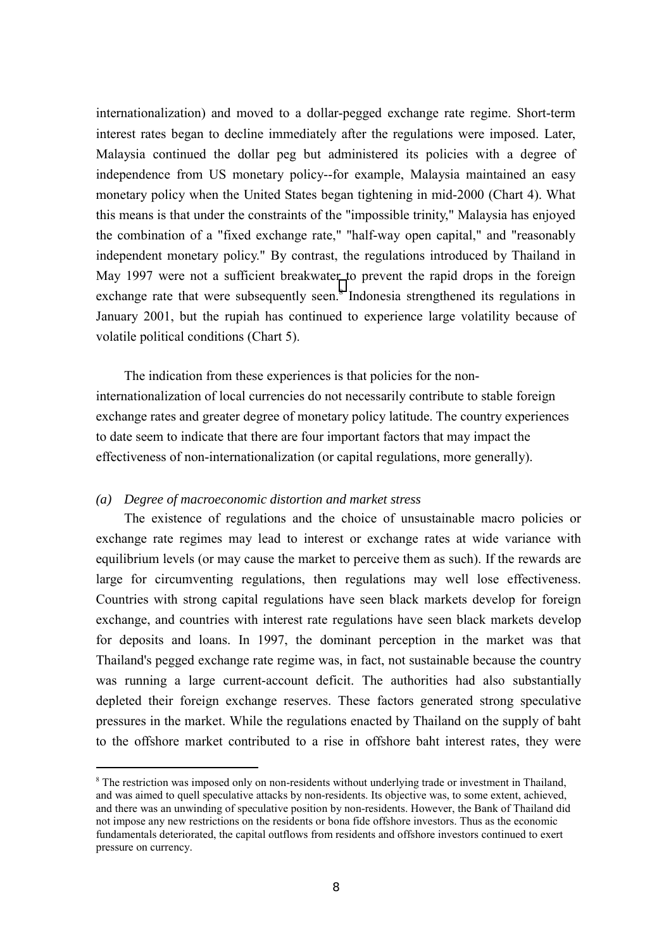internationalization) and moved to a dollar-pegged exchange rate regime. Short-term interest rates began to decline immediately after the regulations were imposed. Later, Malaysia continued the dollar peg but administered its policies with a degree of independence from US monetary policy--for example, Malaysia maintained an easy monetary policy when the United States began tightening in mid-2000 (Chart 4). What this means is that under the constraints of the "impossible trinity," Malaysia has enjoyed the combination of a "fixed exchange rate," "half-way open capital," and "reasonably independent monetary policy." By contrast, the regulations introduced by Thailand in May 1997 were not a sufficient breakwater to prevent the rapid drops in the foreign exchange rate that were subsequently seen.<sup>8</sup> Indonesia strengthened its regulations in January 2001, but the rupiah has continued to experience large volatility because of volatile political conditions (Chart 5).

The indication from these experiences is that policies for the noninternationalization of local currencies do not necessarily contribute to stable foreign exchange rates and greater degree of monetary policy latitude. The country experiences to date seem to indicate that there are four important factors that may impact the effectiveness of non-internationalization (or capital regulations, more generally).

## *(a) Degree of macroeconomic distortion and market stress*

 $\overline{a}$ 

The existence of regulations and the choice of unsustainable macro policies or exchange rate regimes may lead to interest or exchange rates at wide variance with equilibrium levels (or may cause the market to perceive them as such). If the rewards are large for circumventing regulations, then regulations may well lose effectiveness. Countries with strong capital regulations have seen black markets develop for foreign exchange, and countries with interest rate regulations have seen black markets develop for deposits and loans. In 1997, the dominant perception in the market was that Thailand's pegged exchange rate regime was, in fact, not sustainable because the country was running a large current-account deficit. The authorities had also substantially depleted their foreign exchange reserves. These factors generated strong speculative pressures in the market. While the regulations enacted by Thailand on the supply of baht to the offshore market contributed to a rise in offshore baht interest rates, they were

<sup>&</sup>lt;sup>8</sup> The restriction was imposed only on non-residents without underlying trade or investment in Thailand, and was aimed to quell speculative attacks by non-residents. Its objective was, to some extent, achieved, and there was an unwinding of speculative position by non-residents. However, the Bank of Thailand did not impose any new restrictions on the residents or bona fide offshore investors. Thus as the economic fundamentals deteriorated, the capital outflows from residents and offshore investors continued to exert pressure on currency.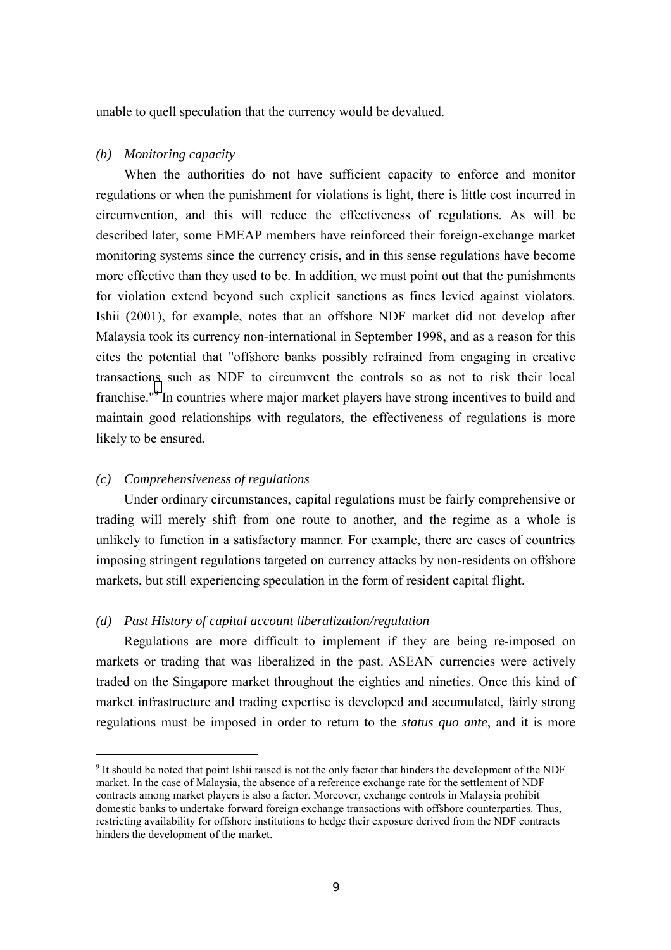unable to quell speculation that the currency would be devalued.

## *(b) Monitoring capacity*

When the authorities do not have sufficient capacity to enforce and monitor regulations or when the punishment for violations is light, there is little cost incurred in circumvention, and this will reduce the effectiveness of regulations. As will be described later, some EMEAP members have reinforced their foreign-exchange market monitoring systems since the currency crisis, and in this sense regulations have become more effective than they used to be. In addition, we must point out that the punishments for violation extend beyond such explicit sanctions as fines levied against violators. Ishii (2001), for example, notes that an offshore NDF market did not develop after Malaysia took its currency non-international in September 1998, and as a reason for this cites the potential that "offshore banks possibly refrained from engaging in creative transactions such as NDF to circumvent the controls so as not to risk their local franchise."<sup>9</sup> In countries where major market players have strong incentives to build and maintain good relationships with regulators, the effectiveness of regulations is more likely to be ensured.

## *(c) Comprehensiveness of regulations*

 $\overline{a}$ 

Under ordinary circumstances, capital regulations must be fairly comprehensive or trading will merely shift from one route to another, and the regime as a whole is unlikely to function in a satisfactory manner. For example, there are cases of countries imposing stringent regulations targeted on currency attacks by non-residents on offshore markets, but still experiencing speculation in the form of resident capital flight.

## *(d) Past History of capital account liberalization/regulation*

Regulations are more difficult to implement if they are being re-imposed on markets or trading that was liberalized in the past. ASEAN currencies were actively traded on the Singapore market throughout the eighties and nineties. Once this kind of market infrastructure and trading expertise is developed and accumulated, fairly strong regulations must be imposed in order to return to the *status quo ante*, and it is more

<sup>&</sup>lt;sup>9</sup> It should be noted that point Ishii raised is not the only factor that hinders the development of the NDF market. In the case of Malaysia, the absence of a reference exchange rate for the settlement of NDF contracts among market players is also a factor. Moreover, exchange controls in Malaysia prohibit domestic banks to undertake forward foreign exchange transactions with offshore counterparties. Thus, restricting availability for offshore institutions to hedge their exposure derived from the NDF contracts hinders the development of the market.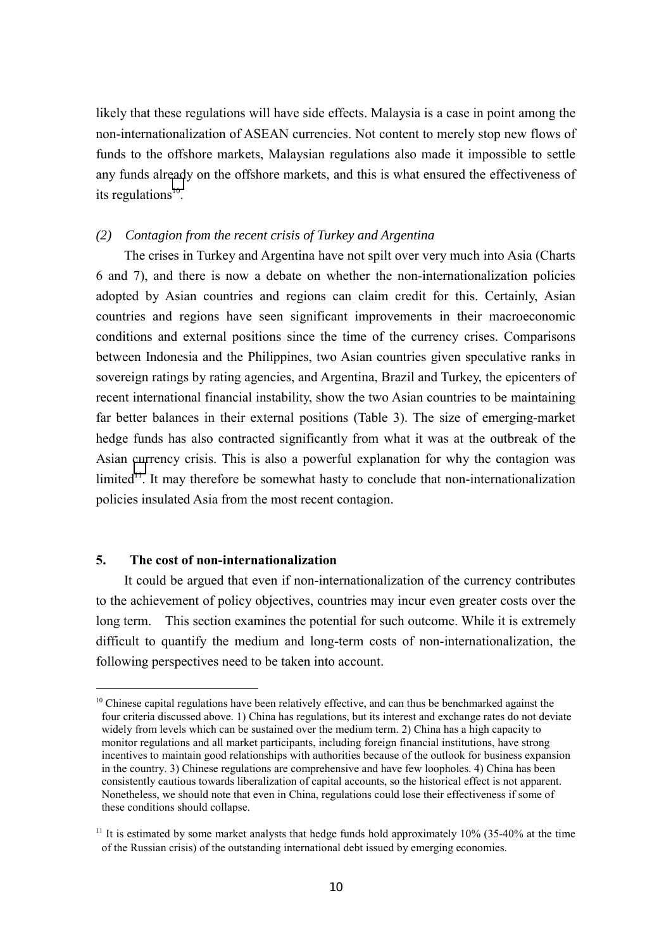likely that these regulations will have side effects. Malaysia is a case in point among the non-internationalization of ASEAN currencies. Not content to merely stop new flows of funds to the offshore markets, Malaysian regulations also made it impossible to settle any funds already on the offshore markets, and this is what ensured the effectiveness of its regulations $10$ .

## *(2) Contagion from the recent crisis of Turkey and Argentina*

The crises in Turkey and Argentina have not spilt over very much into Asia (Charts 6 and 7), and there is now a debate on whether the non-internationalization policies adopted by Asian countries and regions can claim credit for this. Certainly, Asian countries and regions have seen significant improvements in their macroeconomic conditions and external positions since the time of the currency crises. Comparisons between Indonesia and the Philippines, two Asian countries given speculative ranks in sovereign ratings by rating agencies, and Argentina, Brazil and Turkey, the epicenters of recent international financial instability, show the two Asian countries to be maintaining far better balances in their external positions (Table 3). The size of emerging-market hedge funds has also contracted significantly from what it was at the outbreak of the Asian currency crisis. This is also a powerful explanation for why the contagion was  $limited<sup>11</sup>$ . It may therefore be somewhat hasty to conclude that non-internationalization policies insulated Asia from the most recent contagion.

## **5. The cost of non-internationalization**

 $\overline{a}$ 

It could be argued that even if non-internationalization of the currency contributes to the achievement of policy objectives, countries may incur even greater costs over the long term. This section examines the potential for such outcome. While it is extremely difficult to quantify the medium and long-term costs of non-internationalization, the following perspectives need to be taken into account.

 $10$  Chinese capital regulations have been relatively effective, and can thus be benchmarked against the four criteria discussed above. 1) China has regulations, but its interest and exchange rates do not deviate widely from levels which can be sustained over the medium term. 2) China has a high capacity to monitor regulations and all market participants, including foreign financial institutions, have strong incentives to maintain good relationships with authorities because of the outlook for business expansion in the country. 3) Chinese regulations are comprehensive and have few loopholes. 4) China has been consistently cautious towards liberalization of capital accounts, so the historical effect is not apparent. Nonetheless, we should note that even in China, regulations could lose their effectiveness if some of these conditions should collapse.

<sup>&</sup>lt;sup>11</sup> It is estimated by some market analysts that hedge funds hold approximately  $10\%$  (35-40% at the time of the Russian crisis) of the outstanding international debt issued by emerging economies.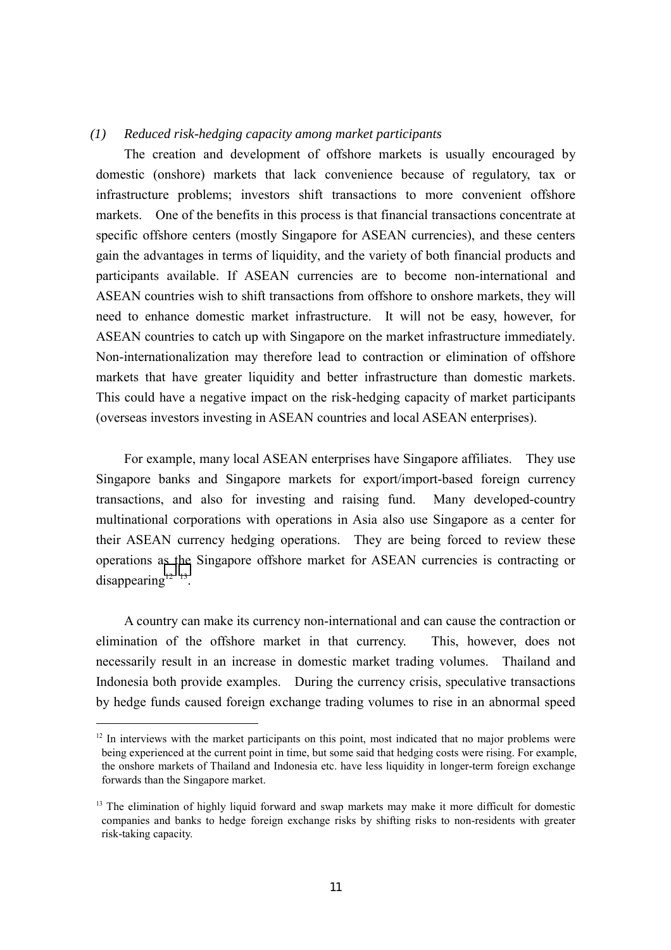## *(1) Reduced risk-hedging capacity among market participants*

The creation and development of offshore markets is usually encouraged by domestic (onshore) markets that lack convenience because of regulatory, tax or infrastructure problems; investors shift transactions to more convenient offshore markets. One of the benefits in this process is that financial transactions concentrate at specific offshore centers (mostly Singapore for ASEAN currencies), and these centers gain the advantages in terms of liquidity, and the variety of both financial products and participants available. If ASEAN currencies are to become non-international and ASEAN countries wish to shift transactions from offshore to onshore markets, they will need to enhance domestic market infrastructure. It will not be easy, however, for ASEAN countries to catch up with Singapore on the market infrastructure immediately. Non-internationalization may therefore lead to contraction or elimination of offshore markets that have greater liquidity and better infrastructure than domestic markets. This could have a negative impact on the risk-hedging capacity of market participants (overseas investors investing in ASEAN countries and local ASEAN enterprises).

For example, many local ASEAN enterprises have Singapore affiliates. They use Singapore banks and Singapore markets for export/import-based foreign currency transactions, and also for investing and raising fund. Many developed-country multinational corporations with operations in Asia also use Singapore as a center for their ASEAN currency hedging operations. They are being forced to review these operations as the Singapore offshore market for ASEAN currencies is contracting or disappearing $12 \frac{13}{2}$ .

A country can make its currency non-international and can cause the contraction or elimination of the offshore market in that currency. This, however, does not necessarily result in an increase in domestic market trading volumes. Thailand and Indonesia both provide examples. During the currency crisis, speculative transactions by hedge funds caused foreign exchange trading volumes to rise in an abnormal speed

 $\overline{a}$ 

<sup>&</sup>lt;sup>12</sup> In interviews with the market participants on this point, most indicated that no major problems were being experienced at the current point in time, but some said that hedging costs were rising. For example, the onshore markets of Thailand and Indonesia etc. have less liquidity in longer-term foreign exchange forwards than the Singapore market.

<sup>&</sup>lt;sup>13</sup> The elimination of highly liquid forward and swap markets may make it more difficult for domestic companies and banks to hedge foreign exchange risks by shifting risks to non-residents with greater risk-taking capacity.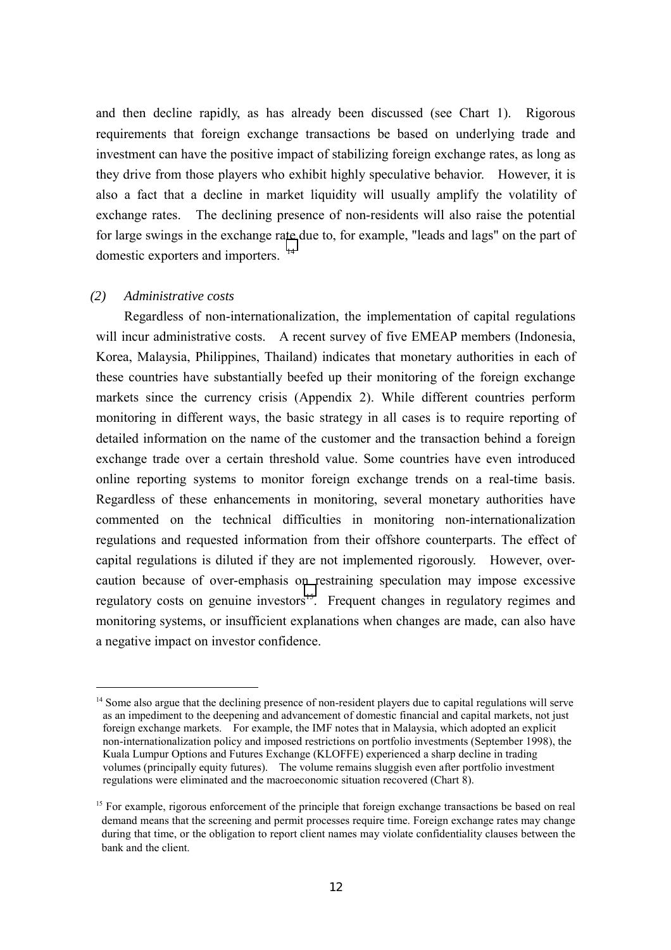and then decline rapidly, as has already been discussed (see Chart 1). Rigorous requirements that foreign exchange transactions be based on underlying trade and investment can have the positive impact of stabilizing foreign exchange rates, as long as they drive from those players who exhibit highly speculative behavior. However, it is also a fact that a decline in market liquidity will usually amplify the volatility of exchange rates. The declining presence of non-residents will also raise the potential for large swings in the exchange rate due to, for example, "leads and lags" on the part of domestic exporters and importers. <sup>14</sup>

## *(2) Administrative costs*

 $\overline{a}$ 

Regardless of non-internationalization, the implementation of capital regulations will incur administrative costs. A recent survey of five EMEAP members (Indonesia, Korea, Malaysia, Philippines, Thailand) indicates that monetary authorities in each of these countries have substantially beefed up their monitoring of the foreign exchange markets since the currency crisis (Appendix 2). While different countries perform monitoring in different ways, the basic strategy in all cases is to require reporting of detailed information on the name of the customer and the transaction behind a foreign exchange trade over a certain threshold value. Some countries have even introduced online reporting systems to monitor foreign exchange trends on a real-time basis. Regardless of these enhancements in monitoring, several monetary authorities have commented on the technical difficulties in monitoring non-internationalization regulations and requested information from their offshore counterparts. The effect of capital regulations is diluted if they are not implemented rigorously. However, overcaution because of over-emphasis on restraining speculation may impose excessive regulatory costs on genuine investors<sup>15</sup>. Frequent changes in regulatory regimes and monitoring systems, or insufficient explanations when changes are made, can also have a negative impact on investor confidence.

<sup>&</sup>lt;sup>14</sup> Some also argue that the declining presence of non-resident players due to capital regulations will serve as an impediment to the deepening and advancement of domestic financial and capital markets, not just foreign exchange markets. For example, the IMF notes that in Malaysia, which adopted an explicit non-internationalization policy and imposed restrictions on portfolio investments (September 1998), the Kuala Lumpur Options and Futures Exchange (KLOFFE) experienced a sharp decline in trading volumes (principally equity futures). The volume remains sluggish even after portfolio investment regulations were eliminated and the macroeconomic situation recovered (Chart 8).

<sup>&</sup>lt;sup>15</sup> For example, rigorous enforcement of the principle that foreign exchange transactions be based on real demand means that the screening and permit processes require time. Foreign exchange rates may change during that time, or the obligation to report client names may violate confidentiality clauses between the bank and the client.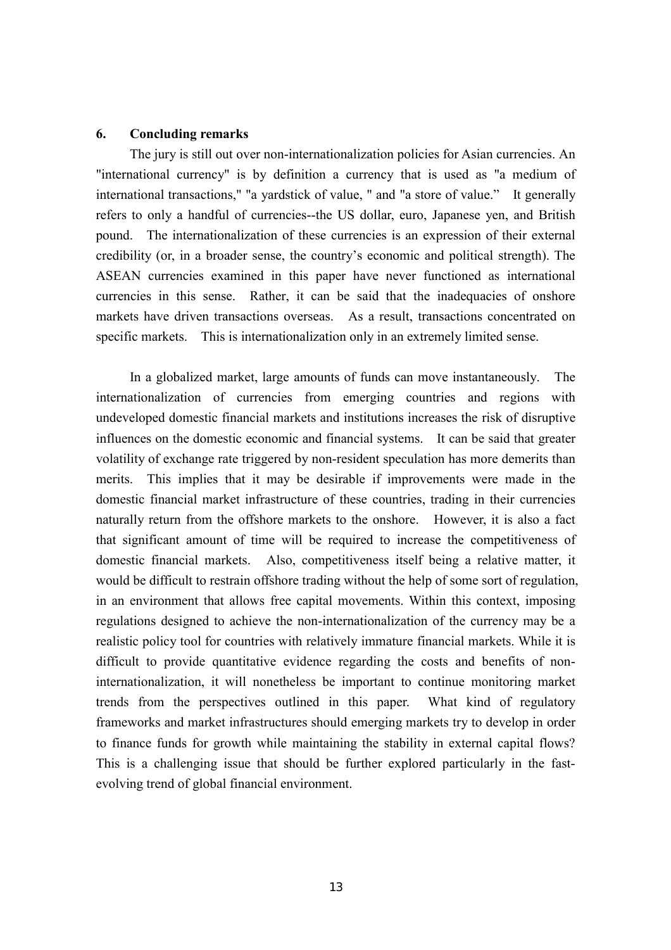## **6. Concluding remarks**

The jury is still out over non-internationalization policies for Asian currencies. An "international currency" is by definition a currency that is used as "a medium of international transactions," "a yardstick of value, " and "a store of value." It generally refers to only a handful of currencies--the US dollar, euro, Japanese yen, and British pound. The internationalization of these currencies is an expression of their external credibility (or, in a broader sense, the countryís economic and political strength). The ASEAN currencies examined in this paper have never functioned as international currencies in this sense. Rather, it can be said that the inadequacies of onshore markets have driven transactions overseas. As a result, transactions concentrated on specific markets. This is internationalization only in an extremely limited sense.

In a globalized market, large amounts of funds can move instantaneously. The internationalization of currencies from emerging countries and regions with undeveloped domestic financial markets and institutions increases the risk of disruptive influences on the domestic economic and financial systems. It can be said that greater volatility of exchange rate triggered by non-resident speculation has more demerits than merits. This implies that it may be desirable if improvements were made in the domestic financial market infrastructure of these countries, trading in their currencies naturally return from the offshore markets to the onshore. However, it is also a fact that significant amount of time will be required to increase the competitiveness of domestic financial markets. Also, competitiveness itself being a relative matter, it would be difficult to restrain offshore trading without the help of some sort of regulation, in an environment that allows free capital movements. Within this context, imposing regulations designed to achieve the non-internationalization of the currency may be a realistic policy tool for countries with relatively immature financial markets. While it is difficult to provide quantitative evidence regarding the costs and benefits of noninternationalization, it will nonetheless be important to continue monitoring market trends from the perspectives outlined in this paper. What kind of regulatory frameworks and market infrastructures should emerging markets try to develop in order to finance funds for growth while maintaining the stability in external capital flows? This is a challenging issue that should be further explored particularly in the fastevolving trend of global financial environment.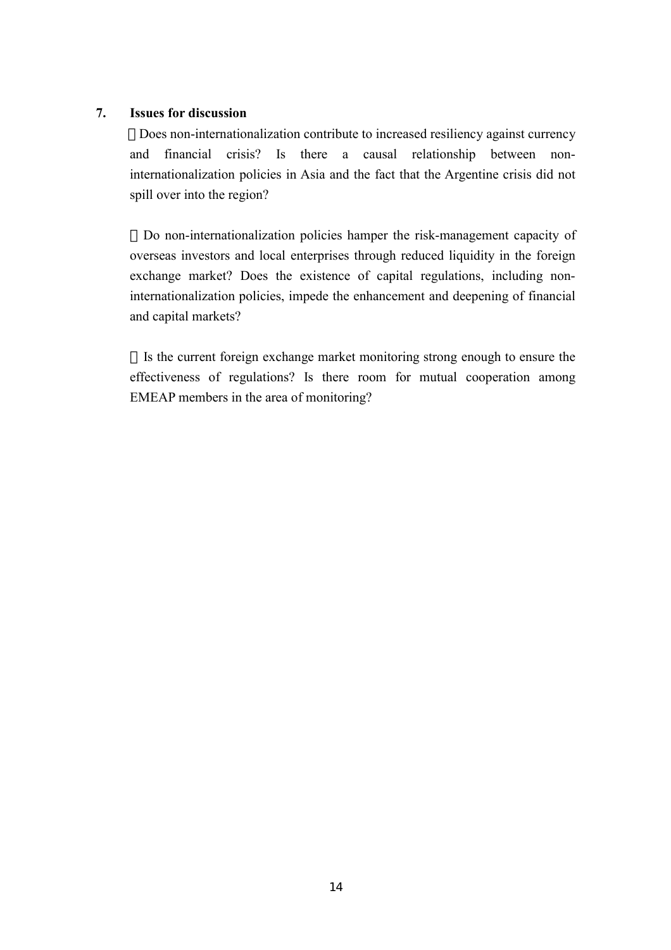## **7. Issues for discussion**

Does non-internationalization contribute to increased resiliency against currency and financial crisis? Is there a causal relationship between noninternationalization policies in Asia and the fact that the Argentine crisis did not spill over into the region?

Do non-internationalization policies hamper the risk-management capacity of overseas investors and local enterprises through reduced liquidity in the foreign exchange market? Does the existence of capital regulations, including noninternationalization policies, impede the enhancement and deepening of financial and capital markets?

Is the current foreign exchange market monitoring strong enough to ensure the effectiveness of regulations? Is there room for mutual cooperation among EMEAP members in the area of monitoring?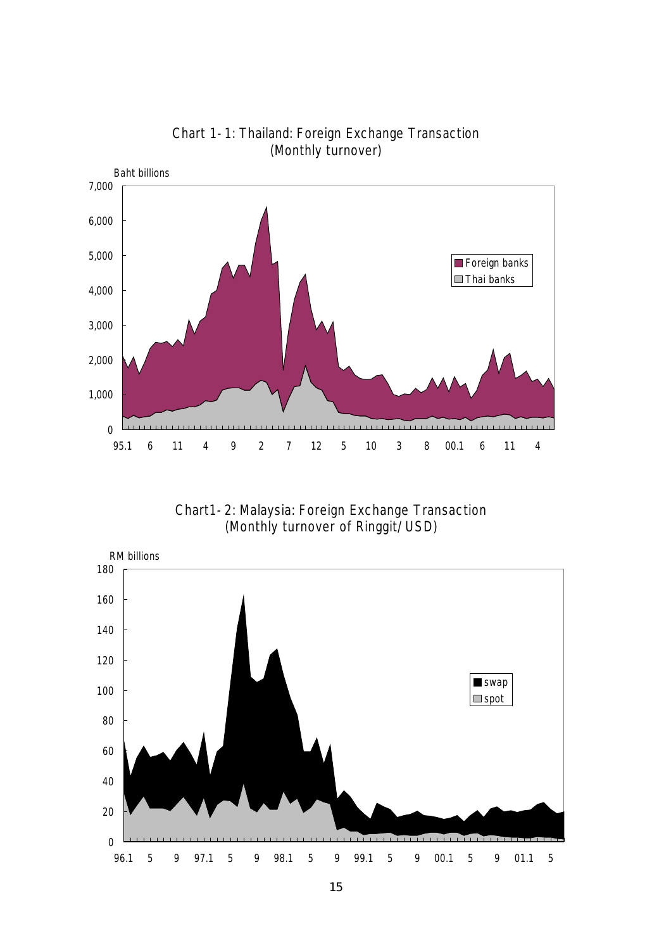

Chart 1-1: Thailand: Foreign Exchange Transaction (Monthly turnover)

Chart1-2: Malaysia: Foreign Exchange Transaction (Monthly turnover of Ringgit/USD)

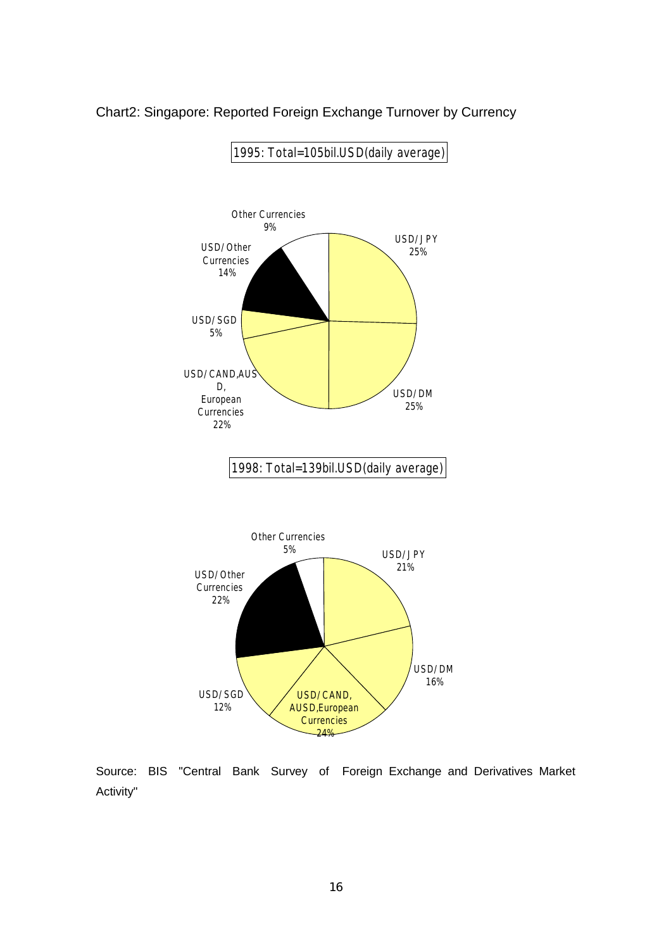

## Chart2: Singapore: Reported Foreign Exchange Turnover by Currency

Source: BIS "Central Bank Survey of Foreign Exchange and Derivatives Market Activity"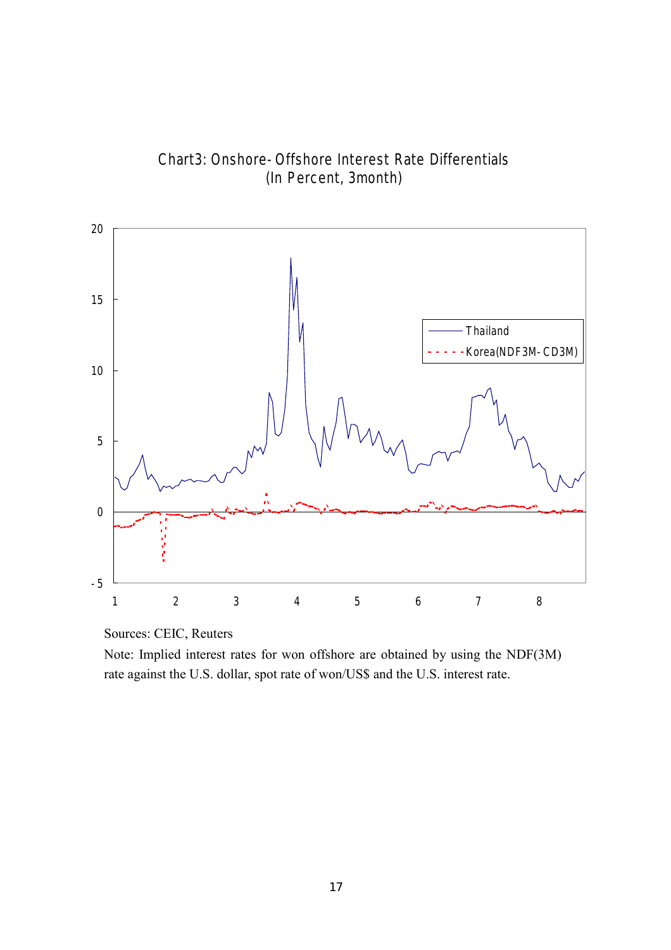

Chart3: Onshore-Offshore Interest Rate Differentials (In Percent, 3month)

Sources: CEIC, Reuters

Note: Implied interest rates for won offshore are obtained by using the NDF(3M) rate against the U.S. dollar, spot rate of won/US\$ and the U.S. interest rate.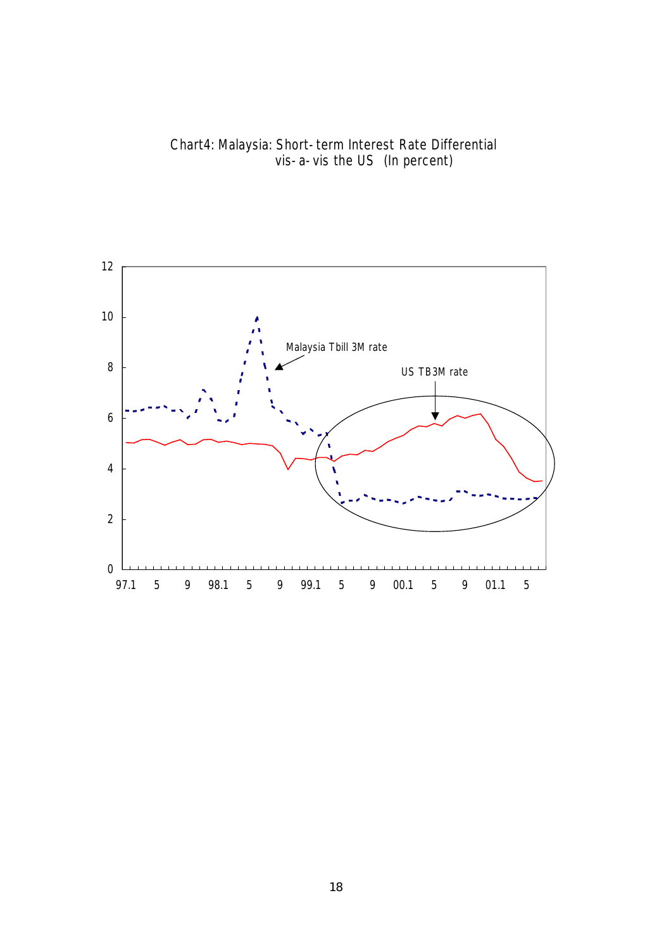

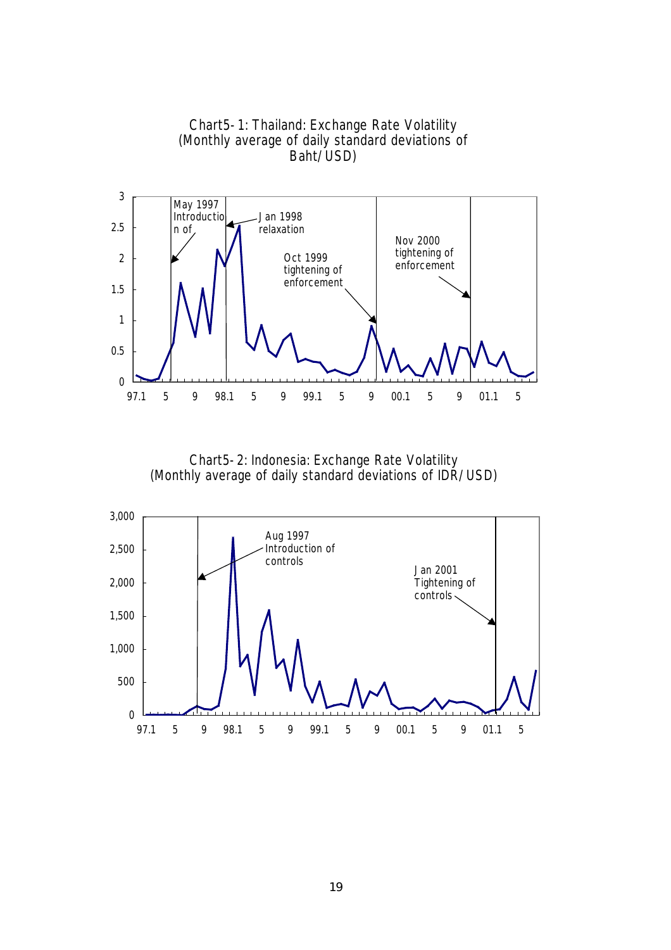

Chart5-2: Indonesia: Exchange Rate Volatility (Monthly average of daily standard deviations of IDR/USD)

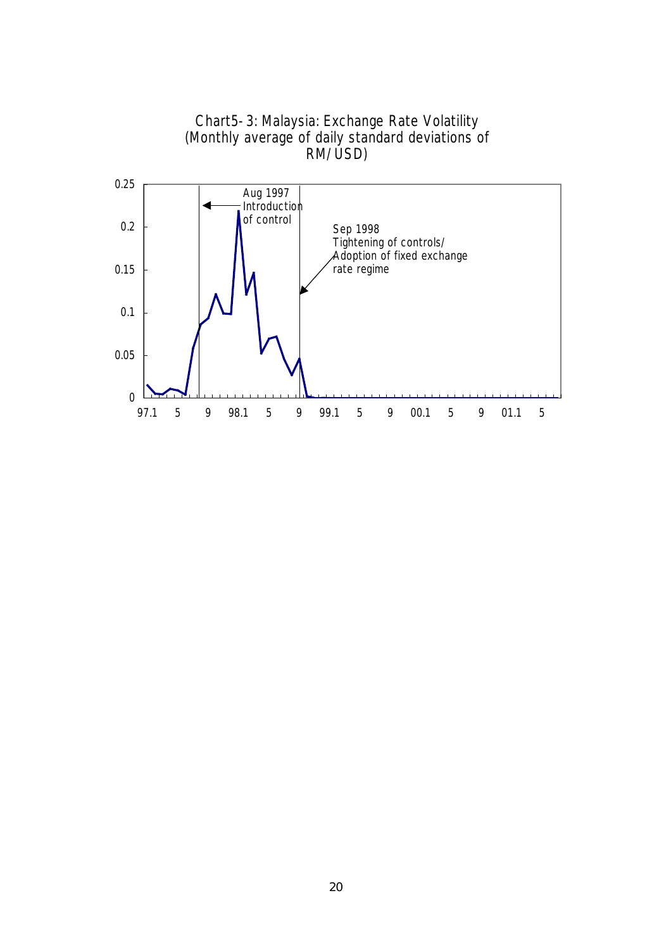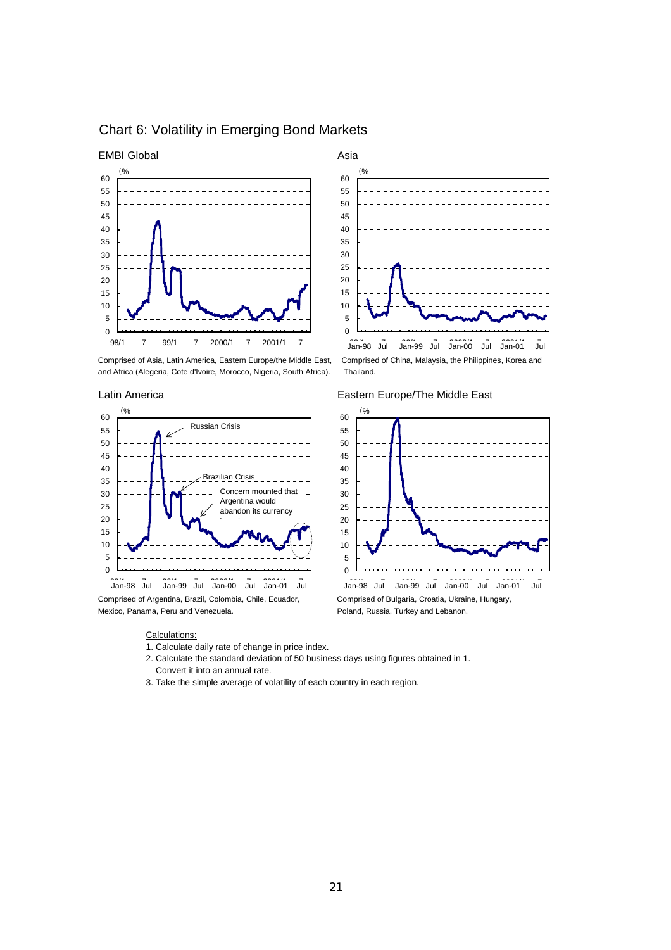

## Chart 6: Volatility in Emerging Bond Markets

and Africa (Alegeria, Cote d'Ivoire, Morocco, Nigeria, South Africa). Thailand.



Comprised of Argentina, Brazil, Colombia, Chile, Ecuador, Comprised of Bulgaria, Croatia, Ukraine, Hungary, Mexico, Panama, Peru and Venezuela. Poland, Russia, Turkey and Lebanon.

#### Calculations:

- 1. Calculate daily rate of change in price index.
- 2. Calculate the standard deviation of 50 business days using figures obtained in 1. Convert it into an annual rate.
- 3. Take the simple average of volatility of each country in each region.



Comprised of Asia, Latin America, Eastern Europe/the Middle East, Comprised of China, Malaysia, the Philippines, Korea and

#### Latin America **Eastern Europe/The Middle East**

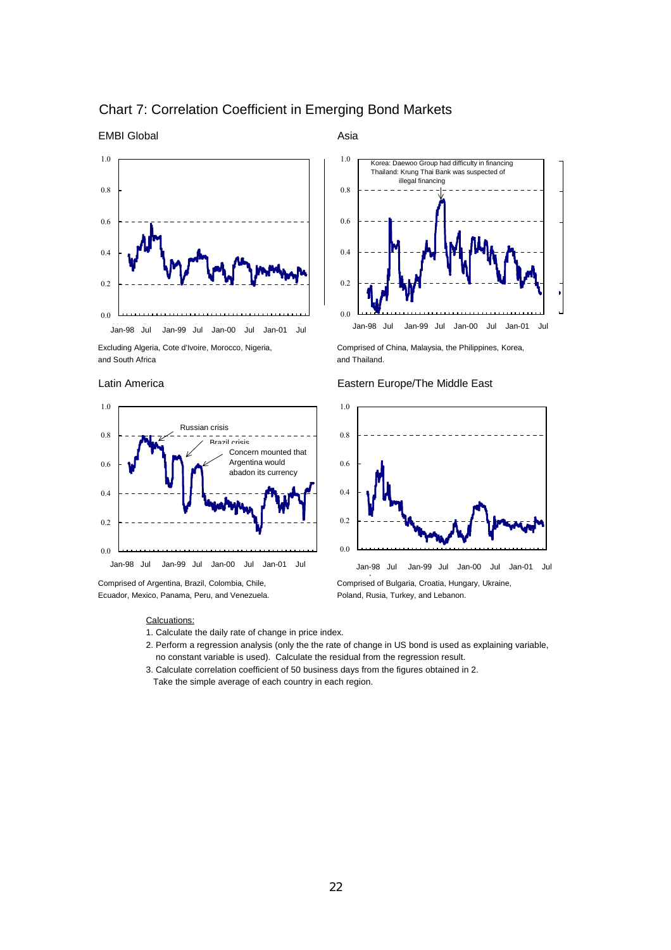

## Chart 7: Correlation Coefficient in Emerging Bond Markets





Ecuador, Mexico, Panama, Peru, and Venezuela. Poland, Rusia, Turkey, and Lebanon.

EMBI Global **Asia** Asia



Excluding Algeria, Cote d'Ivoire, Morocco, Nigeria, Comprised of China, Malaysia, the Philippines, Korea,

# 0.6 0.6 0.8 0.8 1.0 0.0 0.2 0.4 Jan-98 Jul Jan-99 Jul Jan-00 Jul Jan-01 Jul Jan-98 Jul Jan-99 Jul Jan-00 Jul Jan-01 Jul

#### Latin America **Eastern Europe/The Middle East**

#### Calcuations:

- 1. Calculate the daily rate of change in price index.
- 2. Perform a regression analysis (only the the rate of change in US bond is used as explaining variable, no constant variable is used). Calculate the residual from the regression result.
- 3. Calculate correlation coefficient of 50 business days from the figures obtained in 2. Take the simple average of each country in each region.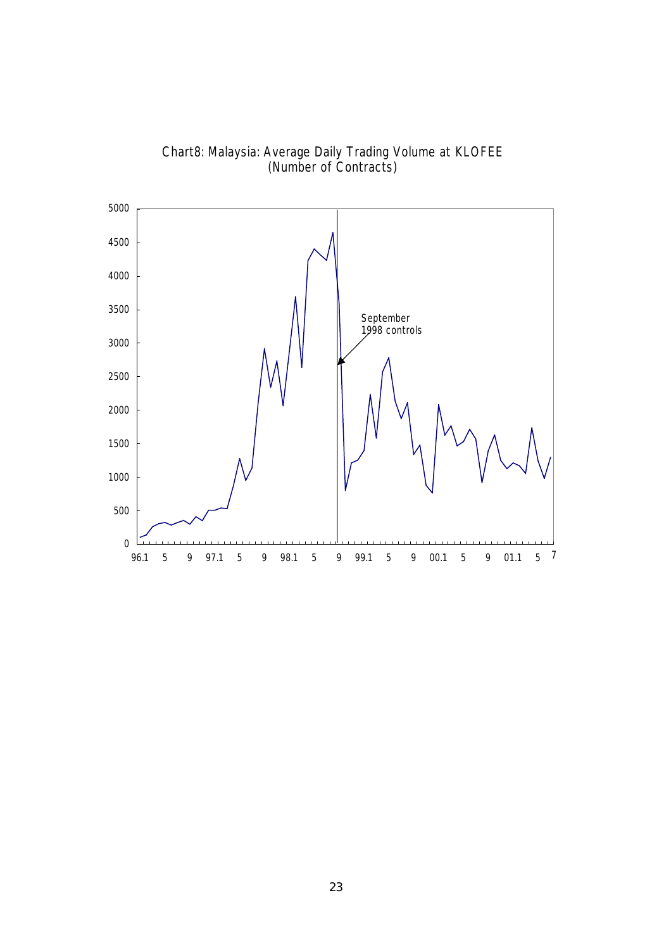

Chart8: Malaysia: Average Daily Trading Volume at KLOFEE (Number of Contracts)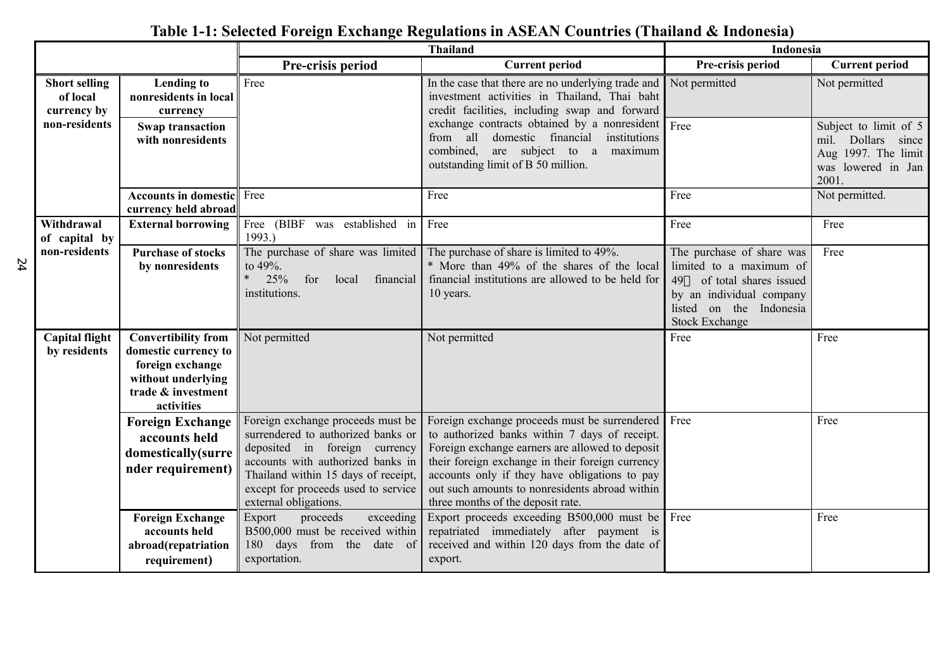|    |                                                                  |                                                                                                                                  | <b>Thailand</b>                                                                                                                                                                                                                                      |                                                                                                                                                                                                                                                                                                                                               |                                                                                                                                                                      | Indonesia                                                                                                 |  |
|----|------------------------------------------------------------------|----------------------------------------------------------------------------------------------------------------------------------|------------------------------------------------------------------------------------------------------------------------------------------------------------------------------------------------------------------------------------------------------|-----------------------------------------------------------------------------------------------------------------------------------------------------------------------------------------------------------------------------------------------------------------------------------------------------------------------------------------------|----------------------------------------------------------------------------------------------------------------------------------------------------------------------|-----------------------------------------------------------------------------------------------------------|--|
|    |                                                                  |                                                                                                                                  | Pre-crisis period                                                                                                                                                                                                                                    | <b>Current period</b>                                                                                                                                                                                                                                                                                                                         | Pre-crisis period                                                                                                                                                    | <b>Current period</b>                                                                                     |  |
|    | <b>Short selling</b><br>of local<br>currency by<br>non-residents | <b>Lending to</b><br>nonresidents in local<br>currency<br>Swap transaction<br>with nonresidents                                  | Free                                                                                                                                                                                                                                                 | In the case that there are no underlying trade and<br>investment activities in Thailand, Thai baht<br>credit facilities, including swap and forward<br>exchange contracts obtained by a nonresident<br>from all domestic financial institutions<br>combined, are subject to a maximum<br>outstanding limit of B 50 million.                   | Not permitted<br>Free                                                                                                                                                | Not permitted<br>Subject to limit of 5<br>mil. Dollars since<br>Aug 1997. The limit<br>was lowered in Jan |  |
|    |                                                                  | Accounts in domestic<br>currency held abroad                                                                                     | Free                                                                                                                                                                                                                                                 | Free                                                                                                                                                                                                                                                                                                                                          | Free                                                                                                                                                                 | 2001.<br>Not permitted.                                                                                   |  |
|    | Withdrawal<br>of capital by                                      | <b>External borrowing</b>                                                                                                        | Free (BIBF was established in<br>1993.)                                                                                                                                                                                                              | Free                                                                                                                                                                                                                                                                                                                                          | Free                                                                                                                                                                 | Free                                                                                                      |  |
| 54 | non-residents                                                    | <b>Purchase of stocks</b><br>by nonresidents                                                                                     | The purchase of share was limited<br>to 49%.<br>$\ast$<br>25%<br>for<br>local<br>financial<br>institutions.                                                                                                                                          | The purchase of share is limited to 49%.<br>* More than 49% of the shares of the local<br>financial institutions are allowed to be held for<br>10 years.                                                                                                                                                                                      | The purchase of share was<br>limited to a maximum of<br>49<br>of total shares issued<br>by an individual company<br>listed on the Indonesia<br><b>Stock Exchange</b> | Free                                                                                                      |  |
|    | <b>Capital flight</b><br>by residents                            | <b>Convertibility from</b><br>domestic currency to<br>foreign exchange<br>without underlying<br>trade & investment<br>activities | Not permitted                                                                                                                                                                                                                                        | Not permitted                                                                                                                                                                                                                                                                                                                                 | Free                                                                                                                                                                 | Free                                                                                                      |  |
|    |                                                                  | <b>Foreign Exchange</b><br>accounts held<br>domestically(surre<br>nder requirement)                                              | Foreign exchange proceeds must be<br>surrendered to authorized banks or<br>deposited in foreign currency<br>accounts with authorized banks in<br>Thailand within 15 days of receipt,<br>except for proceeds used to service<br>external obligations. | Foreign exchange proceeds must be surrendered<br>to authorized banks within 7 days of receipt.<br>Foreign exchange earners are allowed to deposit<br>their foreign exchange in their foreign currency<br>accounts only if they have obligations to pay<br>out such amounts to nonresidents abroad within<br>three months of the deposit rate. | Free                                                                                                                                                                 | Free                                                                                                      |  |
|    |                                                                  | <b>Foreign Exchange</b><br>accounts held<br>abroad(repatriation<br>requirement)                                                  | exceeding<br>Export<br>proceeds<br>B500,000 must be received within<br>180 days from the date of<br>exportation.                                                                                                                                     | Export proceeds exceeding B500,000 must be<br>repatriated immediately after payment is<br>received and within 120 days from the date of<br>export.                                                                                                                                                                                            | Free                                                                                                                                                                 | Free                                                                                                      |  |

# **Table 1-1: Selected Foreign Exchange Regulations in ASEAN Countries (Thailand & Indonesia)**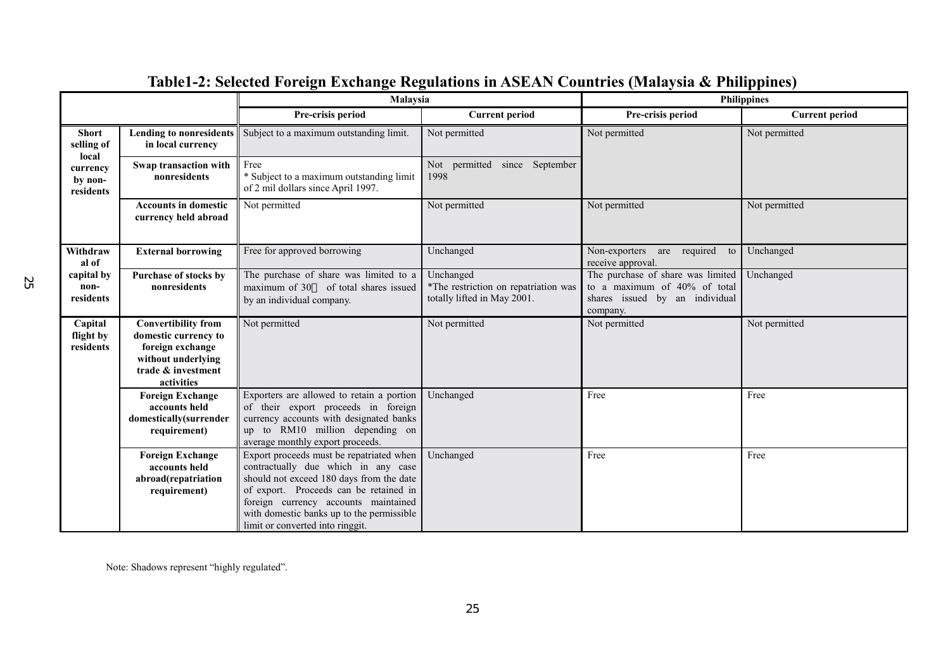|                                     |                                                                                                                                  | Malaysia                                                                                                                                                                                                                                                                                       |                                                                                  | <b>Philippines</b>                                                                                              |                       |
|-------------------------------------|----------------------------------------------------------------------------------------------------------------------------------|------------------------------------------------------------------------------------------------------------------------------------------------------------------------------------------------------------------------------------------------------------------------------------------------|----------------------------------------------------------------------------------|-----------------------------------------------------------------------------------------------------------------|-----------------------|
|                                     |                                                                                                                                  | Pre-crisis period                                                                                                                                                                                                                                                                              | <b>Current period</b>                                                            | Pre-crisis period                                                                                               | <b>Current period</b> |
| <b>Short</b><br>selling of<br>local | <b>Lending to nonresidents</b><br>in local currency                                                                              | Subject to a maximum outstanding limit.                                                                                                                                                                                                                                                        | Not permitted                                                                    | Not permitted                                                                                                   | Not permitted         |
| currency<br>by non-<br>residents    | Swap transaction with<br>nonresidents                                                                                            | Free<br>* Subject to a maximum outstanding limit<br>of 2 mil dollars since April 1997.                                                                                                                                                                                                         | Not permitted since September<br>1998                                            |                                                                                                                 |                       |
|                                     | <b>Accounts in domestic</b><br>currency held abroad                                                                              | Not permitted                                                                                                                                                                                                                                                                                  | Not permitted                                                                    | Not permitted                                                                                                   | Not permitted         |
| Withdraw<br>al of                   | <b>External borrowing</b>                                                                                                        | Free for approved borrowing                                                                                                                                                                                                                                                                    | Unchanged                                                                        | Non-exporters<br>are required<br>to<br>receive approval.                                                        | Unchanged             |
| capital by<br>non-<br>residents     | Purchase of stocks by<br>nonresidents                                                                                            | The purchase of share was limited to a<br>maximum of 30 of total shares issued<br>by an individual company.                                                                                                                                                                                    | Unchanged<br>*The restriction on repatriation was<br>totally lifted in May 2001. | The purchase of share was limited<br>to a maximum of 40% of total<br>shares issued by an individual<br>company. | Unchanged             |
| Capital<br>flight by<br>residents   | <b>Convertibility from</b><br>domestic currency to<br>foreign exchange<br>without underlying<br>trade & investment<br>activities | Not permitted                                                                                                                                                                                                                                                                                  | Not permitted                                                                    | Not permitted                                                                                                   | Not permitted         |
|                                     | <b>Foreign Exchange</b><br>accounts held<br>domestically(surrender<br>requirement)                                               | Exporters are allowed to retain a portion<br>of their export proceeds in foreign<br>currency accounts with designated banks<br>up to RM10 million depending on<br>average monthly export proceeds.                                                                                             | Unchanged                                                                        | Free                                                                                                            | Free                  |
|                                     | <b>Foreign Exchange</b><br>accounts held<br>abroad(repatriation<br>requirement)                                                  | Export proceeds must be repatriated when<br>contractually due which in any case<br>should not exceed 180 days from the date<br>of export. Proceeds can be retained in<br>foreign currency accounts maintained<br>with domestic banks up to the permissible<br>limit or converted into ringgit. | Unchanged                                                                        | Free                                                                                                            | Free                  |

# **Table1-2: Selected Foreign Exchange Regulations in ASEAN Countries (Malaysia & Philippines)**

Note: Shadows represent "highly regulated".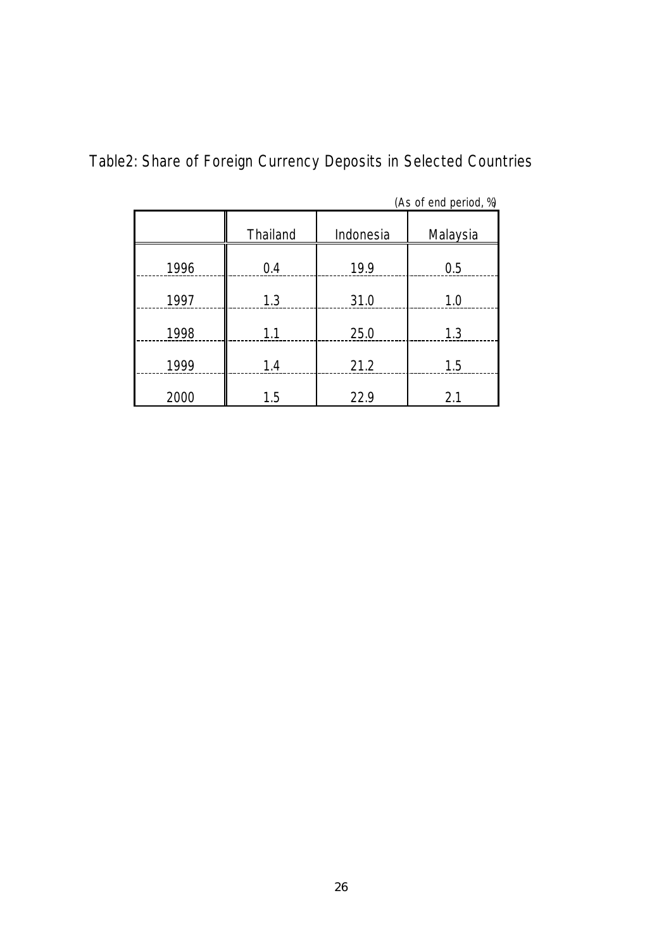|      |          |           | (As of end period, %) |
|------|----------|-----------|-----------------------|
|      | Thailand | Indonesia | Malaysia              |
| 1996 | 0.4      | 19.9      | 0.5                   |
| 1997 | 1.3      | 31.0      | 1.0                   |
| 1998 | 1.1      | 25.0      | 1.3                   |
| 1999 | 1.4      | 21.2      | 1.5                   |
| 2000 | 1.5      | 22.9      | 2.1                   |

Table2: Share of Foreign Currency Deposits in Selected Countries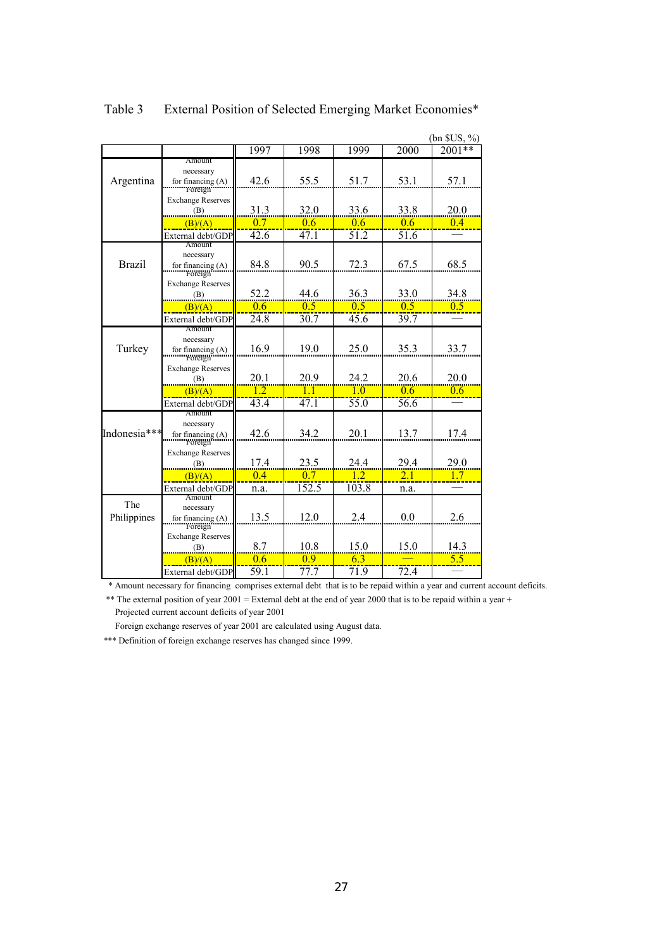|               |                                  |                 |                |                  |                | $(bn$ SUS, $\%$ |
|---------------|----------------------------------|-----------------|----------------|------------------|----------------|-----------------|
|               |                                  | 1997            | 1998           | 1999             | 2000           | $2001**$        |
|               | Amount                           |                 |                |                  |                |                 |
|               | necessary                        | 42.6            | 55.5           | 51.7             | 53.1           |                 |
| Argentina     | for financing $(A)$<br>Foreign   |                 |                |                  |                | 57.1            |
|               | <b>Exchange Reserves</b>         |                 |                |                  |                |                 |
|               | (B)                              | 31.3            | 32.0           | 33.6             | 33.8           | 20.0            |
|               | (B)/(A)                          | 0.7             | 0.6            | 0.6              | 0.6            | 0.4             |
|               | External debt/GDP                | 42.6            | 47.1           | 51.2             | 51.6           |                 |
|               | Amount                           |                 |                |                  |                |                 |
| <b>Brazil</b> | necessary<br>for financing $(A)$ | 84.8            | 90.5           | 72.3             | 67.5           | 68.5            |
|               | Foreign                          |                 |                |                  |                |                 |
|               | <b>Exchange Reserves</b>         |                 |                |                  |                |                 |
|               | (B)                              | 52.2            | 44.6           | 36.3             | 33.0           | 34.8            |
|               | (B)/(A)                          | 0.6             | 0 <sub>5</sub> | 0 <sub>5</sub>   | 0 <sub>5</sub> | 0.5             |
|               | External debt/GDP                | 24.8            | 30.7           | 45.6             | 39.7           |                 |
|               | Amount                           |                 |                |                  |                |                 |
| Turkey        | necessary<br>for financing $(A)$ | 16.9            | 19.0           | 25.0             | 35.3           | 33.7            |
|               | Foreign                          |                 |                |                  |                |                 |
|               | <b>Exchange Reserves</b>         |                 |                |                  |                |                 |
|               | (B)                              | 20.1            | 20.9           | 24.2             | 20.6           | 20.0            |
|               | (B)/(A)                          | $\overline{12}$ | 11             | $\overline{1.0}$ | 0.6            | 0.6             |
|               | External debt/GDP                | 43.4            | 47.1           | 55.0             | 56.6           |                 |
|               | Amount<br>necessary              |                 |                |                  |                |                 |
| Indonesia***  | for financing (A)                | 42.6            | 34.2           | 20.1             | 13.7           | 17.4            |
|               | Foreign                          |                 |                |                  |                |                 |
|               | <b>Exchange Reserves</b>         |                 |                |                  |                |                 |
|               | (B)                              | 17.4            | 23.5           | 24.4             | 29.4           | 29.0            |
|               | (B)/(A)                          | 0.4             | 0.7            | 1.2              | 2.1            | 1.7             |
|               | External debt/GDP<br>Amount      | n.a.            | 152.5          | 103.8            | n.a.           |                 |
| The           | necessary                        |                 |                |                  |                |                 |
| Philippines   | for financing $(A)$              | 13.5            | 12.0           | 2.4              | 0.0            | 2.6             |
|               | Foreign                          |                 |                |                  |                |                 |
|               | <b>Exchange Reserves</b>         | 8.7             | 10.8           | 15.0             | 15.0           | 14.3            |
|               | (B)                              |                 | 09             |                  |                | 5.5             |
|               | (B)/(A)                          | 0.6             |                | 6.3              |                |                 |
|               | External debt/GDP                | 59.1            | 77.7           | 71.9             | 72.4           |                 |

Table 3 External Position of Selected Emerging Market Economies\*

\* Amount necessary for financing comprises external debt that is to be repaid within a year and current account deficits.

\*\* The external position of year 2001 = External debt at the end of year 2000 that is to be repaid within a year + Projected current account deficits of year 2001

Foreign exchange reserves of year 2001 are calculated using August data.

\*\*\* Definition of foreign exchange reserves has changed since 1999.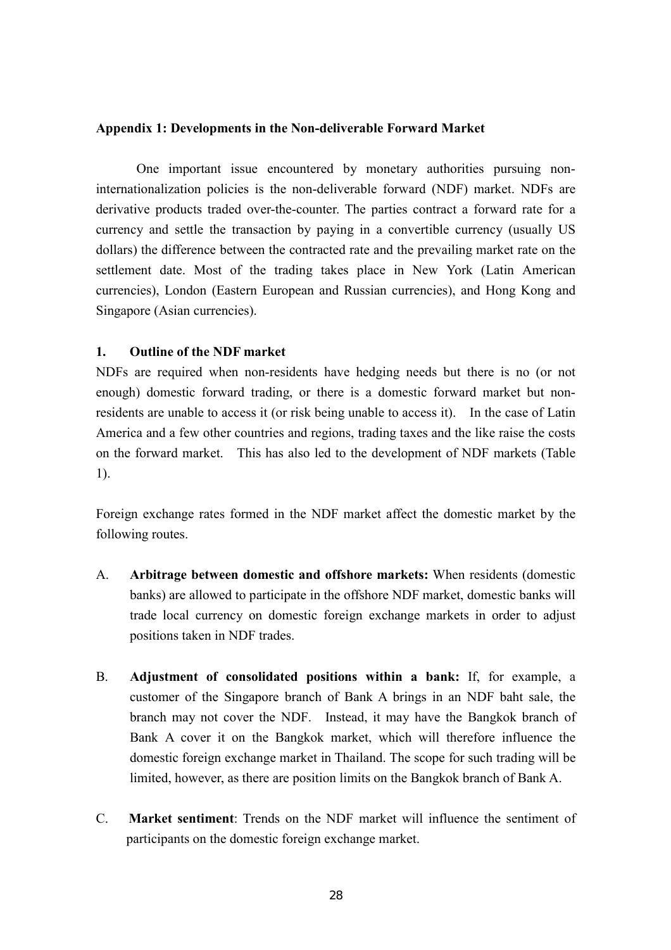## **Appendix 1: Developments in the Non-deliverable Forward Market**

One important issue encountered by monetary authorities pursuing noninternationalization policies is the non-deliverable forward (NDF) market. NDFs are derivative products traded over-the-counter. The parties contract a forward rate for a currency and settle the transaction by paying in a convertible currency (usually US dollars) the difference between the contracted rate and the prevailing market rate on the settlement date. Most of the trading takes place in New York (Latin American currencies), London (Eastern European and Russian currencies), and Hong Kong and Singapore (Asian currencies).

## **1. Outline of the NDF market**

NDFs are required when non-residents have hedging needs but there is no (or not enough) domestic forward trading, or there is a domestic forward market but nonresidents are unable to access it (or risk being unable to access it). In the case of Latin America and a few other countries and regions, trading taxes and the like raise the costs on the forward market. This has also led to the development of NDF markets (Table 1).

Foreign exchange rates formed in the NDF market affect the domestic market by the following routes.

- A. **Arbitrage between domestic and offshore markets:** When residents (domestic banks) are allowed to participate in the offshore NDF market, domestic banks will trade local currency on domestic foreign exchange markets in order to adjust positions taken in NDF trades.
- B. **Adjustment of consolidated positions within a bank:** If, for example, a customer of the Singapore branch of Bank A brings in an NDF baht sale, the branch may not cover the NDF. Instead, it may have the Bangkok branch of Bank A cover it on the Bangkok market, which will therefore influence the domestic foreign exchange market in Thailand. The scope for such trading will be limited, however, as there are position limits on the Bangkok branch of Bank A.
- C. **Market sentiment**: Trends on the NDF market will influence the sentiment of participants on the domestic foreign exchange market.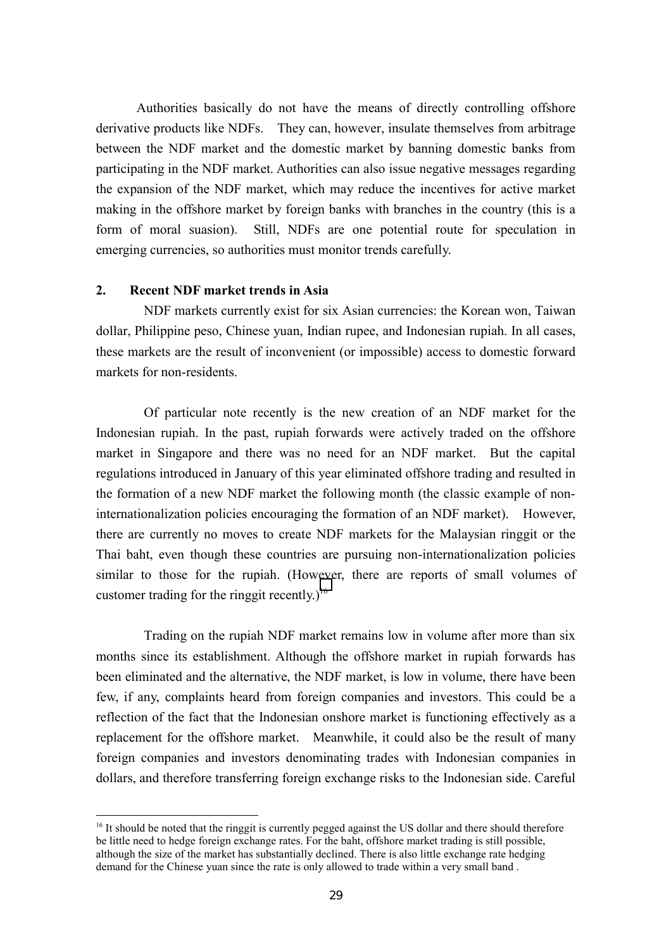Authorities basically do not have the means of directly controlling offshore derivative products like NDFs. They can, however, insulate themselves from arbitrage between the NDF market and the domestic market by banning domestic banks from participating in the NDF market. Authorities can also issue negative messages regarding the expansion of the NDF market, which may reduce the incentives for active market making in the offshore market by foreign banks with branches in the country (this is a form of moral suasion). Still, NDFs are one potential route for speculation in emerging currencies, so authorities must monitor trends carefully.

## **2. Recent NDF market trends in Asia**

 $\overline{a}$ 

NDF markets currently exist for six Asian currencies: the Korean won, Taiwan dollar, Philippine peso, Chinese yuan, Indian rupee, and Indonesian rupiah. In all cases, these markets are the result of inconvenient (or impossible) access to domestic forward markets for non-residents.

Of particular note recently is the new creation of an NDF market for the Indonesian rupiah. In the past, rupiah forwards were actively traded on the offshore market in Singapore and there was no need for an NDF market. But the capital regulations introduced in January of this year eliminated offshore trading and resulted in the formation of a new NDF market the following month (the classic example of noninternationalization policies encouraging the formation of an NDF market). However, there are currently no moves to create NDF markets for the Malaysian ringgit or the Thai baht, even though these countries are pursuing non-internationalization policies similar to those for the rupiah. (However, there are reports of small volumes of customer trading for the ringgit recently.)<sup>16</sup>

Trading on the rupiah NDF market remains low in volume after more than six months since its establishment. Although the offshore market in rupiah forwards has been eliminated and the alternative, the NDF market, is low in volume, there have been few, if any, complaints heard from foreign companies and investors. This could be a reflection of the fact that the Indonesian onshore market is functioning effectively as a replacement for the offshore market. Meanwhile, it could also be the result of many foreign companies and investors denominating trades with Indonesian companies in dollars, and therefore transferring foreign exchange risks to the Indonesian side. Careful

<sup>&</sup>lt;sup>16</sup> It should be noted that the ringgit is currently pegged against the US dollar and there should therefore be little need to hedge foreign exchange rates. For the baht, offshore market trading is still possible, although the size of the market has substantially declined. There is also little exchange rate hedging demand for the Chinese yuan since the rate is only allowed to trade within a very small band .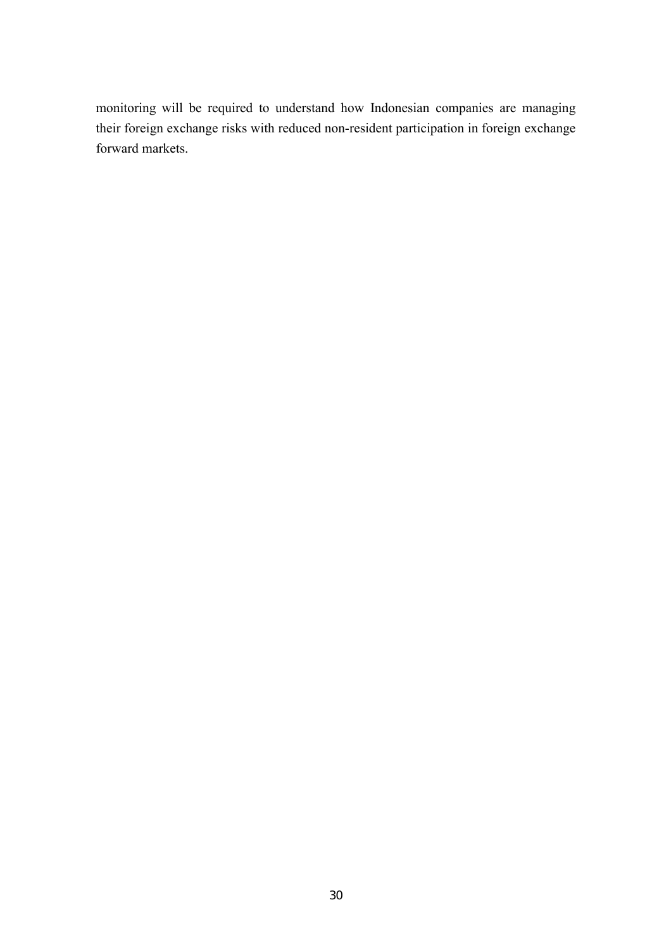monitoring will be required to understand how Indonesian companies are managing their foreign exchange risks with reduced non-resident participation in foreign exchange forward markets.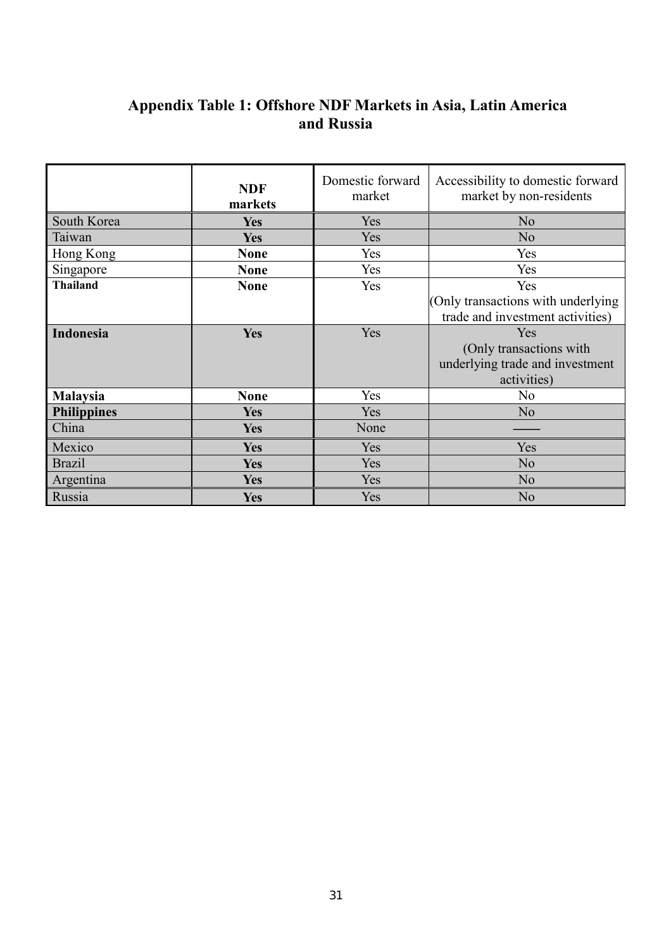## **Appendix Table 1: Offshore NDF Markets in Asia, Latin America and Russia**

|                    | <b>NDF</b><br>markets | Domestic forward<br>market | Accessibility to domestic forward<br>market by non-residents           |
|--------------------|-----------------------|----------------------------|------------------------------------------------------------------------|
| South Korea        | <b>Yes</b>            | Yes                        | N <sub>0</sub>                                                         |
| Taiwan             | <b>Yes</b>            | Yes                        | N <sub>0</sub>                                                         |
| Hong Kong          | <b>None</b>           | Yes                        | Yes                                                                    |
| Singapore          | <b>None</b>           | Yes                        | Yes                                                                    |
| <b>Thailand</b>    | <b>None</b>           | Yes                        | Yes                                                                    |
|                    |                       |                            | (Only transactions with underlying<br>trade and investment activities) |
| Indonesia          | <b>Yes</b>            | Yes                        | Yes                                                                    |
|                    |                       |                            | (Only transactions with                                                |
|                    |                       |                            | underlying trade and investment                                        |
|                    |                       |                            | activities)                                                            |
| <b>Malaysia</b>    | <b>None</b>           | Yes                        | N <sub>0</sub>                                                         |
| <b>Philippines</b> | <b>Yes</b>            | Yes                        | N <sub>o</sub>                                                         |
| China              | <b>Yes</b>            | None                       |                                                                        |
| Mexico             | <b>Yes</b>            | Yes                        | Yes                                                                    |
| <b>Brazil</b>      | <b>Yes</b>            | Yes                        | N <sub>o</sub>                                                         |
| Argentina          | <b>Yes</b>            | Yes                        | N <sub>o</sub>                                                         |
| Russia             | <b>Yes</b>            | Yes                        | N <sub>o</sub>                                                         |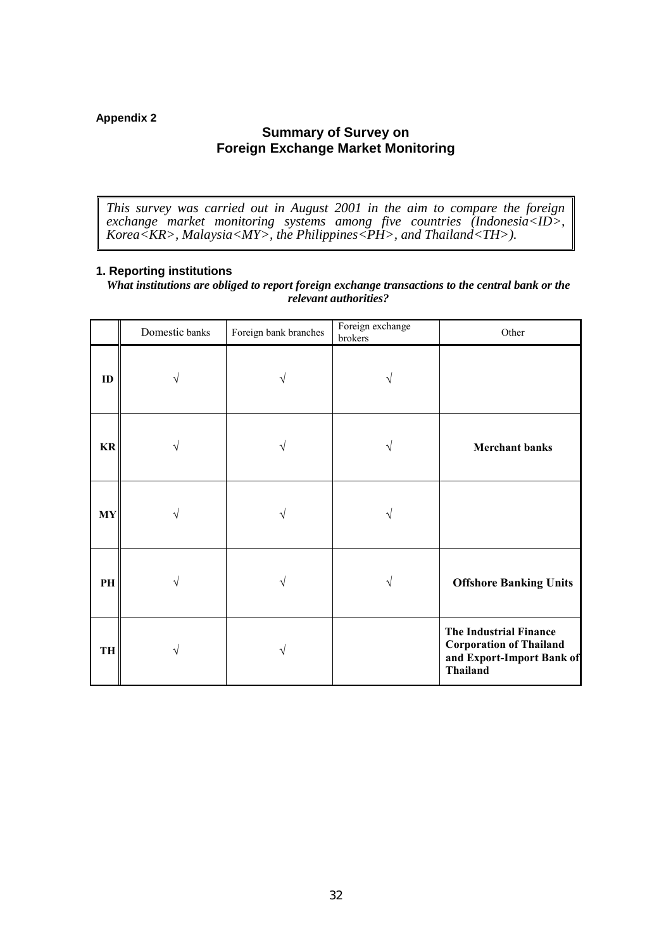## **Appendix 2**

## **Summary of Survey on Foreign Exchange Market Monitoring**

*This survey was carried out in August 2001 in the aim to compare the foreign exchange market monitoring systems among five countries (Indonesia<ID>, Korea<KR>, Malaysia<MY>, the Philippines<PH>, and Thailand<TH>).*

## **1. Reporting institutions**

*What institutions are obliged to report foreign exchange transactions to the central bank or the relevant authorities?*

|               | Domestic banks | Foreign bank branches | Foreign exchange<br>brokers | Other                                                                                                           |
|---------------|----------------|-----------------------|-----------------------------|-----------------------------------------------------------------------------------------------------------------|
| ID            |                | ٦                     |                             |                                                                                                                 |
| $\mathbf{KR}$ |                |                       |                             | <b>Merchant banks</b>                                                                                           |
| $\bold{MY}$   |                |                       |                             |                                                                                                                 |
| PH            |                |                       | V                           | <b>Offshore Banking Units</b>                                                                                   |
| TH            |                | ٦                     |                             | <b>The Industrial Finance</b><br><b>Corporation of Thailand</b><br>and Export-Import Bank of<br><b>Thailand</b> |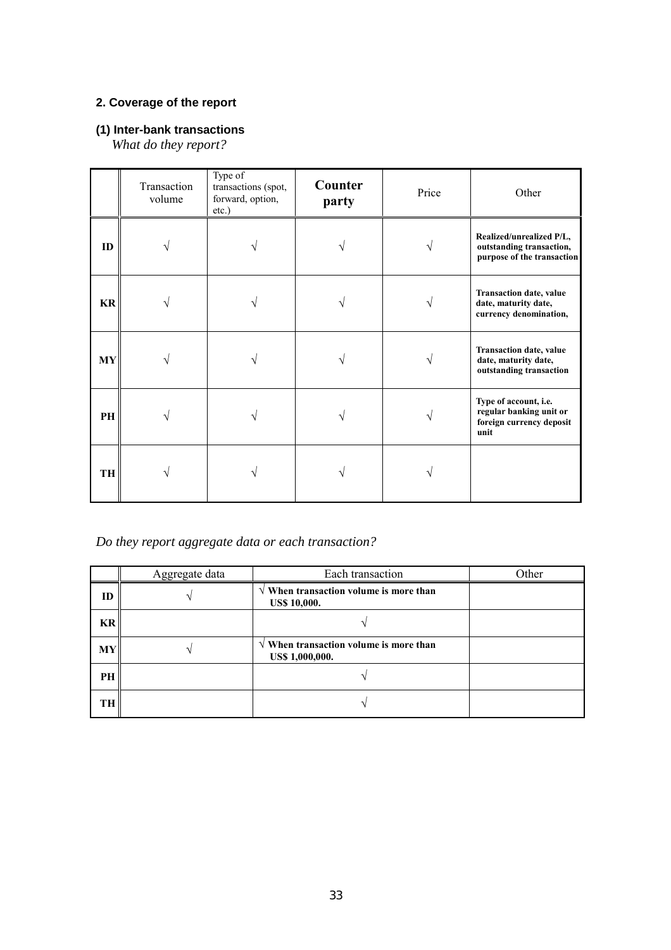## **2. Coverage of the report**

## **(1) Inter-bank transactions**

*What do they report?*

|           | Transaction<br>volume | Type of<br>transactions (spot,<br>forward, option,<br>$etc.$ ) | Counter<br>party | Price | Other                                                                                |
|-----------|-----------------------|----------------------------------------------------------------|------------------|-------|--------------------------------------------------------------------------------------|
| ID        |                       |                                                                |                  |       | Realized/unrealized P/L,<br>outstanding transaction,<br>purpose of the transaction   |
| KR        |                       |                                                                |                  |       | <b>Transaction date, value</b><br>date, maturity date,<br>currency denomination,     |
| <b>MY</b> |                       |                                                                |                  |       | Transaction date, value<br>date, maturity date,<br>outstanding transaction           |
| PH        |                       |                                                                |                  |       | Type of account, i.e.<br>regular banking unit or<br>foreign currency deposit<br>unit |
| TH        |                       |                                                                |                  |       |                                                                                      |

*Do they report aggregate data or each transaction?*

|    | Aggregate data | Each transaction                                                       | Other |
|----|----------------|------------------------------------------------------------------------|-------|
| ID |                | $\sqrt{ }$ When transaction volume is more than<br><b>US\$ 10,000.</b> |       |
| KR |                |                                                                        |       |
| МY |                | $\sqrt{ }$ When transaction volume is more than<br>US\$ 1,000,000.     |       |
| PН |                |                                                                        |       |
| TH |                |                                                                        |       |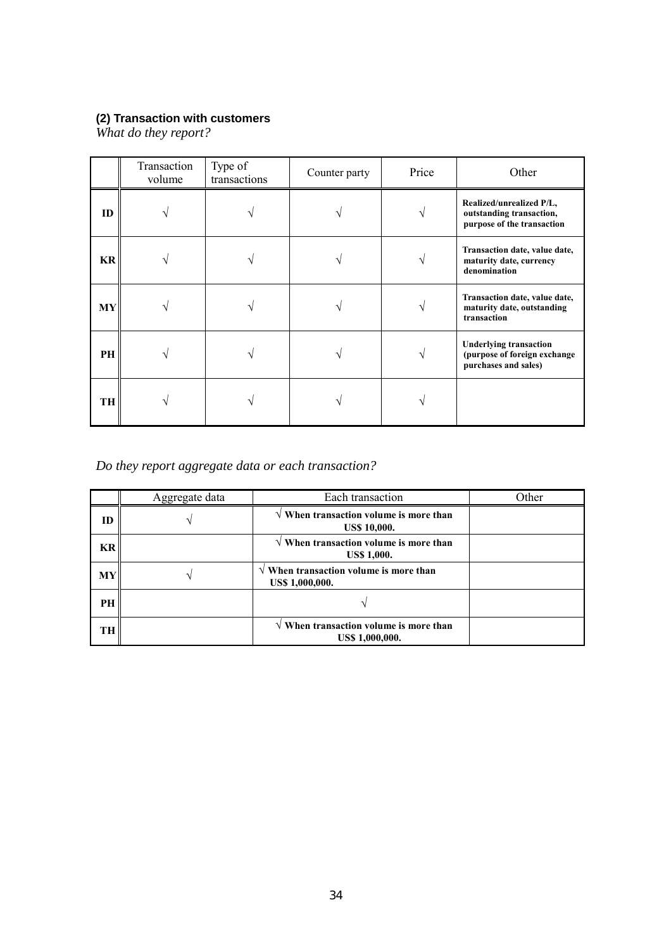## **(2) Transaction with customers**

*What do they report?*

|           | Transaction<br>volume | Type of<br>transactions | Counter party | Price | Other                                                                                 |
|-----------|-----------------------|-------------------------|---------------|-------|---------------------------------------------------------------------------------------|
| ID        |                       |                         |               |       | Realized/unrealized P/L,<br>outstanding transaction,<br>purpose of the transaction    |
| <b>KR</b> |                       |                         |               |       | Transaction date, value date,<br>maturity date, currency<br>denomination              |
| MY        |                       |                         |               |       | Transaction date, value date,<br>maturity date, outstanding<br>transaction            |
| PH        |                       |                         |               |       | <b>Underlying transaction</b><br>(purpose of foreign exchange<br>purchases and sales) |
| TH        |                       |                         |               |       |                                                                                       |

*Do they report aggregate data or each transaction?*

|    | Aggregate data | Each transaction                                                       | Other |
|----|----------------|------------------------------------------------------------------------|-------|
| ID |                | $\sqrt{ }$ When transaction volume is more than<br><b>US\$ 10,000.</b> |       |
| KR |                | $\sqrt{ }$ When transaction volume is more than<br><b>US\$ 1,000.</b>  |       |
| МY |                | $\sqrt{ }$ When transaction volume is more than<br>US\$ 1,000,000.     |       |
| PH |                |                                                                        |       |
| TH |                | $\sqrt{ }$ When transaction volume is more than<br>US\$ 1,000,000.     |       |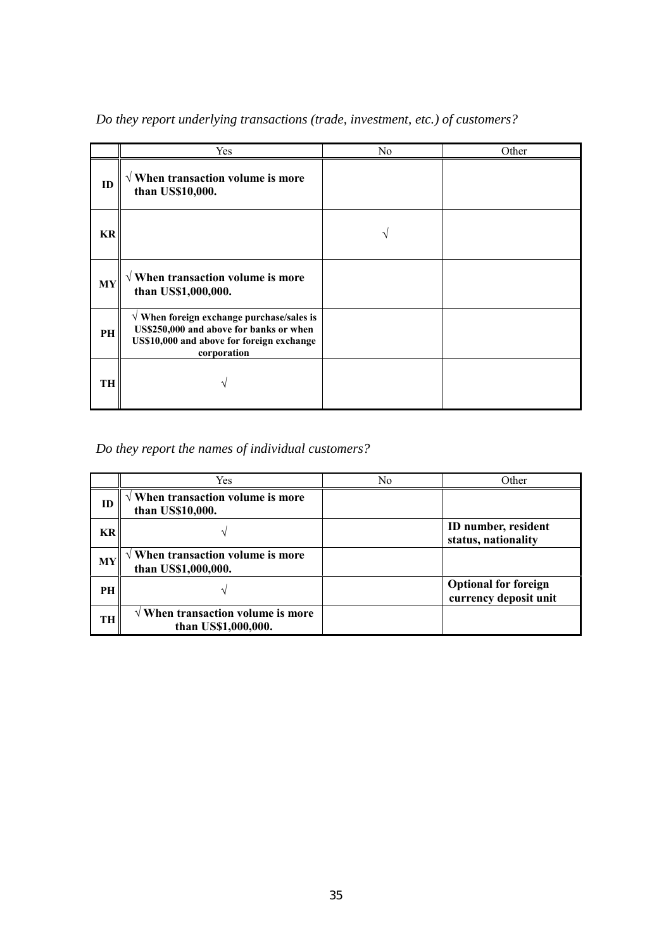|           | Yes                                                                                                                                                       | N <sub>0</sub> | Other |
|-----------|-----------------------------------------------------------------------------------------------------------------------------------------------------------|----------------|-------|
| ID        | $\sqrt{ }$ When transaction volume is more<br>than US\$10,000.                                                                                            |                |       |
| KR        |                                                                                                                                                           |                |       |
| <b>MY</b> | $\sqrt{ }$ When transaction volume is more<br>than US\$1,000,000.                                                                                         |                |       |
| <b>PH</b> | $\sqrt{ }$ When foreign exchange purchase/sales is<br>US\$250,000 and above for banks or when<br>US\$10,000 and above for foreign exchange<br>corporation |                |       |
| TH        |                                                                                                                                                           |                |       |

*Do they report underlying transactions (trade, investment, etc.) of customers?*

*Do they report the names of individual customers?*

|           | Yes                                                               | N0 | Other                                                |
|-----------|-------------------------------------------------------------------|----|------------------------------------------------------|
| ID        | When transaction volume is more<br>than US\$10,000.               |    |                                                      |
| KR        |                                                                   |    | ID number, resident<br>status, nationality           |
| <b>MY</b> | $\sqrt{ }$ When transaction volume is more<br>than US\$1,000,000. |    |                                                      |
| PH        |                                                                   |    | <b>Optional for foreign</b><br>currency deposit unit |
| TH        | $\sqrt{ }$ When transaction volume is more<br>than US\$1,000,000. |    |                                                      |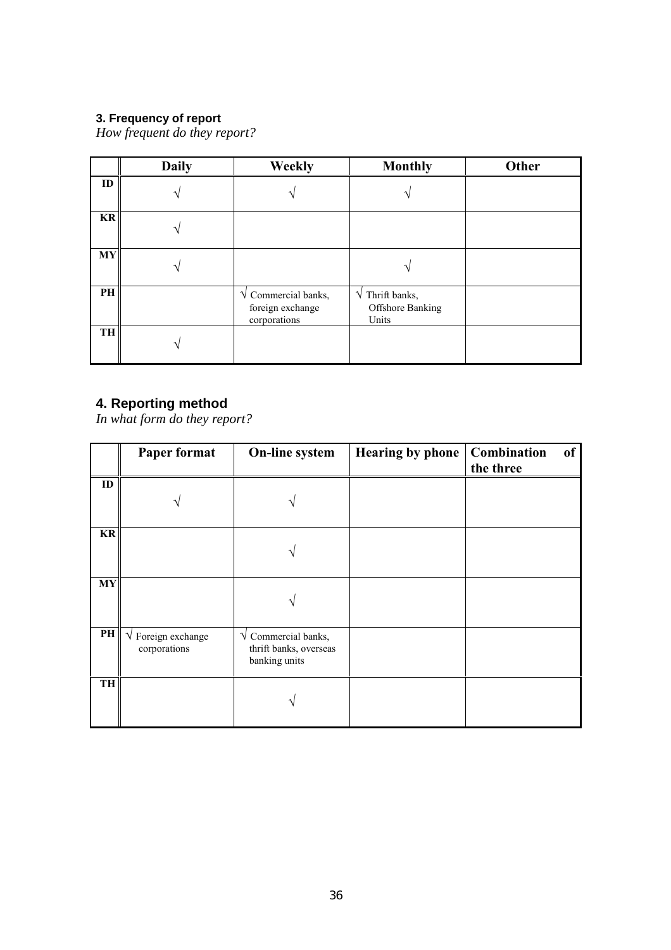## **3. Frequency of report**

*How frequent do they report?*

|           | <b>Daily</b> | <b>Weekly</b>                                                     | <b>Monthly</b>                                             | <b>Other</b> |
|-----------|--------------|-------------------------------------------------------------------|------------------------------------------------------------|--------------|
| ID        |              |                                                                   |                                                            |              |
| <b>KR</b> |              |                                                                   |                                                            |              |
| MY        |              |                                                                   |                                                            |              |
| PH        |              | $\sqrt{\ }$ Commercial banks,<br>foreign exchange<br>corporations | $\sqrt{\text{Third banks}}$ ,<br>Offshore Banking<br>Units |              |
| TH        |              |                                                                   |                                                            |              |

## **4. Reporting method**

*In what form do they report?*

|           | Paper format                                 | On-line system                                                           | Hearing by phone | Combination<br>of<br>the three |
|-----------|----------------------------------------------|--------------------------------------------------------------------------|------------------|--------------------------------|
| ID        |                                              |                                                                          |                  |                                |
| <b>KR</b> |                                              |                                                                          |                  |                                |
| <b>MY</b> |                                              |                                                                          |                  |                                |
| PH        | $\sqrt{\ }$ Foreign exchange<br>corporations | $\sqrt{\ }$ Commercial banks,<br>thrift banks, overseas<br>banking units |                  |                                |
| TH        |                                              |                                                                          |                  |                                |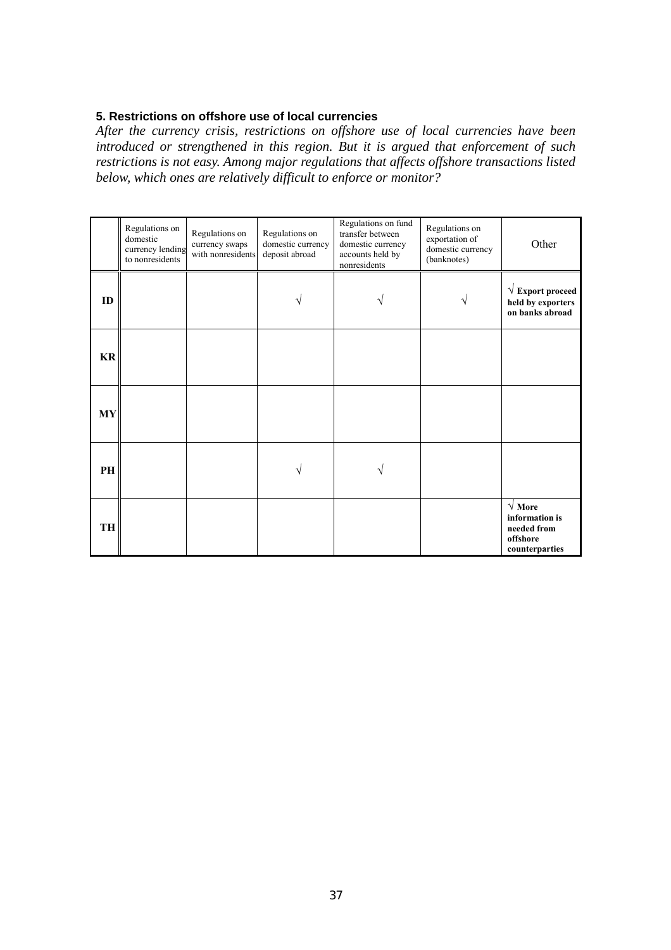## **5. Restrictions on offshore use of local currencies**

*After the currency crisis, restrictions on offshore use of local currencies have been introduced or strengthened in this region. But it is argued that enforcement of such restrictions is not easy. Among major regulations that affects offshore transactions listed below, which ones are relatively difficult to enforce or monitor?*

|           | Regulations on<br>domestic<br>currency lending<br>to nonresidents | Regulations on<br>currency swaps<br>with nonresidents | Regulations on<br>domestic currency<br>deposit abroad | Regulations on fund<br>transfer between<br>domestic currency<br>accounts held by<br>nonresidents | Regulations on<br>exportation of<br>domestic currency<br>(banknotes) | Other                                                                               |
|-----------|-------------------------------------------------------------------|-------------------------------------------------------|-------------------------------------------------------|--------------------------------------------------------------------------------------------------|----------------------------------------------------------------------|-------------------------------------------------------------------------------------|
| ID        |                                                                   |                                                       |                                                       |                                                                                                  |                                                                      | $\sqrt{\mathbf{Export}}$ proceed<br>held by exporters<br>on banks abroad            |
| <b>KR</b> |                                                                   |                                                       |                                                       |                                                                                                  |                                                                      |                                                                                     |
| <b>MY</b> |                                                                   |                                                       |                                                       |                                                                                                  |                                                                      |                                                                                     |
| PH        |                                                                   |                                                       |                                                       |                                                                                                  |                                                                      |                                                                                     |
| TH        |                                                                   |                                                       |                                                       |                                                                                                  |                                                                      | $\sqrt{\text{More}}$<br>information is<br>needed from<br>offshore<br>counterparties |